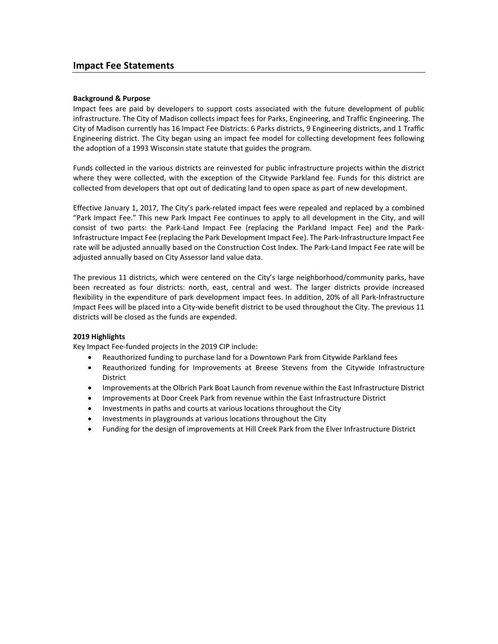### **Background & Purpose**

Impact fees are paid by developers to support costs associated with the future development of public infrastructure. The City of Madison collects impact fees for Parks, Engineering, and Traffic Engineering. The City of Madison currently has 16 Impact Fee Districts: 6 Parks districts, 9 Engineering districts, and 1 Traffic Engineering district. The City began using an impact fee model for collecting development fees following the adoption of a 1993 Wisconsin state statute that guides the program.

Funds collected in the various districts are reinvested for public infrastructure projects within the district where they were collected, with the exception of the Citywide Parkland fee. Funds for this district are collected from developers that opt out of dedicating land to open space as part of new development.

Effective January 1, 2017, The City's park-related impact fees were repealed and replaced by a combined "Park Impact Fee." This new Park Impact Fee continues to apply to all development in the City, and will consist of two parts: the Park-Land Impact Fee (replacing the Parkland Impact Fee) and the Park-Infrastructure Impact Fee (replacing the Park Development Impact Fee). The Park-Infrastructure Impact Fee rate will be adjusted annually based on the Construction Cost Index. The Park-Land Impact Fee rate will be adjusted annually based on City Assessor land value data.

The previous 11 districts, which were centered on the City's large neighborhood/community parks, have been recreated as four districts: north, east, central and west. The larger districts provide increased flexibility in the expenditure of park development impact fees. In addition, 20% of all Park-Infrastructure Impact Fees will be placed into a City-wide benefit district to be used throughout the City. The previous 11 districts will be closed as the funds are expended.

### **2019 Highlights**

Key Impact Fee-funded projects in the 2019 CIP include:

- Reauthorized funding to purchase land for a Downtown Park from Citywide Parkland fees
- Reauthorized funding for Improvements at Breese Stevens from the Citywide Infrastructure District
- Improvements at the Olbrich Park Boat Launch from revenue within the East Infrastructure District
- Improvements at Door Creek Park from revenue within the East Infrastructure District
- Investments in paths and courts at various locations throughout the City
- Investments in playgrounds at various locations throughout the City
- Funding for the design of improvements at Hill Creek Park from the Elver Infrastructure District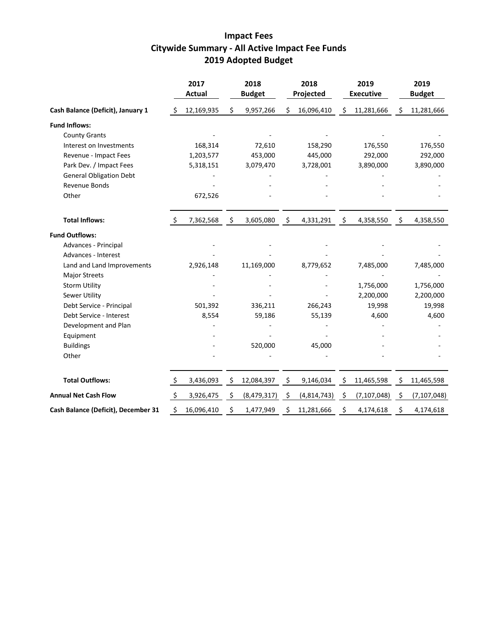# **Impact Fees Citywide Summary - All Active Impact Fee Funds 2019 Adopted Budget**

|                                     |              | 2017<br><b>Actual</b> |                    | 2018<br><b>Budget</b> |    | 2018<br>Projected |     | 2019<br><b>Executive</b> |         | 2019<br><b>Budget</b> |
|-------------------------------------|--------------|-----------------------|--------------------|-----------------------|----|-------------------|-----|--------------------------|---------|-----------------------|
| Cash Balance (Deficit), January 1   | S            | 12,169,935            | \$                 | 9,957,266             | \$ | 16,096,410        | \$  | 11,281,666               | \$      | 11,281,666            |
| <b>Fund Inflows:</b>                |              |                       |                    |                       |    |                   |     |                          |         |                       |
| <b>County Grants</b>                |              |                       |                    |                       |    |                   |     |                          |         |                       |
| Interest on Investments             |              | 168,314               |                    | 72,610                |    | 158,290           |     | 176,550                  |         | 176,550               |
| Revenue - Impact Fees               |              | 1,203,577             |                    | 453,000               |    | 445,000           |     | 292,000                  |         | 292,000               |
| Park Dev. / Impact Fees             |              | 5,318,151             |                    | 3,079,470             |    | 3,728,001         |     | 3,890,000                |         | 3,890,000             |
| <b>General Obligation Debt</b>      |              |                       |                    |                       |    |                   |     |                          |         |                       |
| Revenue Bonds                       |              |                       |                    |                       |    |                   |     |                          |         |                       |
| Other                               |              | 672,526               |                    |                       |    |                   |     |                          |         |                       |
| <b>Total Inflows:</b>               |              | 7,362,568             | $\ddot{\varsigma}$ | 3,605,080             | \$ | 4,331,291         | \$  | 4,358,550                | $\zeta$ | 4,358,550             |
| <b>Fund Outflows:</b>               |              |                       |                    |                       |    |                   |     |                          |         |                       |
| Advances - Principal                |              |                       |                    |                       |    |                   |     |                          |         |                       |
| Advances - Interest                 |              |                       |                    |                       |    |                   |     |                          |         |                       |
| Land and Land Improvements          |              | 2,926,148             |                    | 11,169,000            |    | 8,779,652         |     | 7,485,000                |         | 7,485,000             |
| <b>Major Streets</b>                |              |                       |                    |                       |    |                   |     |                          |         |                       |
| <b>Storm Utility</b>                |              |                       |                    |                       |    |                   |     | 1,756,000                |         | 1,756,000             |
| Sewer Utility                       |              |                       |                    |                       |    |                   |     | 2,200,000                |         | 2,200,000             |
| Debt Service - Principal            |              | 501,392               |                    | 336,211               |    | 266,243           |     | 19,998                   |         | 19,998                |
| Debt Service - Interest             |              | 8,554                 |                    | 59,186                |    | 55,139            |     | 4,600                    |         | 4,600                 |
| Development and Plan                |              |                       |                    |                       |    |                   |     |                          |         |                       |
| Equipment                           |              |                       |                    |                       |    |                   |     |                          |         |                       |
| <b>Buildings</b>                    |              |                       |                    | 520,000               |    | 45,000            |     |                          |         |                       |
| Other                               |              |                       |                    |                       |    |                   |     |                          |         |                       |
| <b>Total Outflows:</b>              | $\mathsf{S}$ | 3,436,093             | \$                 | 12,084,397            | \$ | 9,146,034         | \$, | 11,465,598               | \$      | 11,465,598            |
| <b>Annual Net Cash Flow</b>         | \$           | 3,926,475             | \$                 | (8,479,317)           | Ŝ. | (4,814,743)       | \$  | (7, 107, 048)            | \$      | (7, 107, 048)         |
| Cash Balance (Deficit), December 31 | Ś            | 16,096,410            | \$                 | 1,477,949             | \$ | 11,281,666        | \$  | 4,174,618                | \$      | 4,174,618             |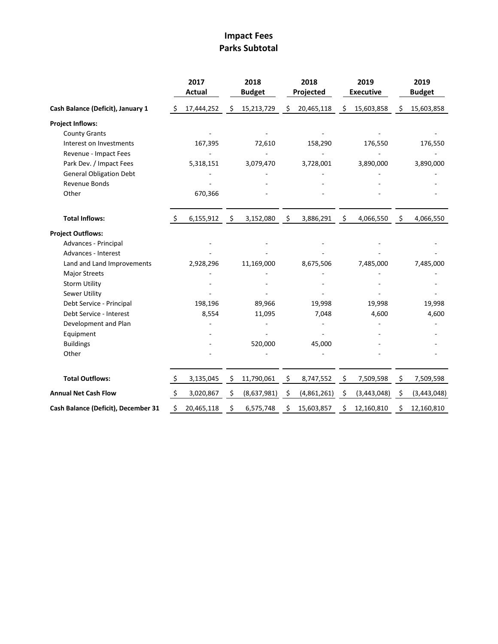# **Impact Fees Parks Subtotal**

|                                     |         | 2017<br><b>Actual</b> |      | 2018<br><b>Budget</b> |    | 2018<br>Projected |    | 2019<br><b>Executive</b> |    | 2019<br><b>Budget</b> |
|-------------------------------------|---------|-----------------------|------|-----------------------|----|-------------------|----|--------------------------|----|-----------------------|
| Cash Balance (Deficit), January 1   | S.      | 17,444,252            | \$   | 15,213,729            | \$ | 20,465,118        | Ŝ. | 15,603,858               | S  | 15,603,858            |
| <b>Project Inflows:</b>             |         |                       |      |                       |    |                   |    |                          |    |                       |
| <b>County Grants</b>                |         |                       |      |                       |    |                   |    |                          |    |                       |
| Interest on Investments             |         | 167,395               |      | 72,610                |    | 158,290           |    | 176,550                  |    | 176,550               |
| Revenue - Impact Fees               |         |                       |      |                       |    |                   |    |                          |    |                       |
| Park Dev. / Impact Fees             |         | 5,318,151             |      | 3,079,470             |    | 3,728,001         |    | 3,890,000                |    | 3,890,000             |
| <b>General Obligation Debt</b>      |         |                       |      |                       |    |                   |    |                          |    |                       |
| Revenue Bonds                       |         |                       |      |                       |    |                   |    |                          |    |                       |
| Other                               |         | 670,366               |      |                       |    |                   |    |                          |    |                       |
| <b>Total Inflows:</b>               | S.      | 6,155,912             | - \$ | 3,152,080             | \$ | 3,886,291         | \$ | 4,066,550                | \$ | 4,066,550             |
| <b>Project Outflows:</b>            |         |                       |      |                       |    |                   |    |                          |    |                       |
| Advances - Principal                |         |                       |      |                       |    |                   |    |                          |    |                       |
| Advances - Interest                 |         |                       |      |                       |    |                   |    |                          |    |                       |
| Land and Land Improvements          |         | 2,928,296             |      | 11,169,000            |    | 8,675,506         |    | 7,485,000                |    | 7,485,000             |
| <b>Major Streets</b>                |         |                       |      |                       |    |                   |    |                          |    |                       |
| <b>Storm Utility</b>                |         |                       |      |                       |    |                   |    |                          |    |                       |
| Sewer Utility                       |         |                       |      |                       |    |                   |    |                          |    |                       |
| Debt Service - Principal            |         | 198,196               |      | 89,966                |    | 19,998            |    | 19,998                   |    | 19,998                |
| Debt Service - Interest             |         | 8,554                 |      | 11,095                |    | 7,048             |    | 4,600                    |    | 4,600                 |
| Development and Plan                |         |                       |      |                       |    |                   |    |                          |    |                       |
| Equipment                           |         |                       |      |                       |    |                   |    |                          |    |                       |
| <b>Buildings</b>                    |         |                       |      | 520,000               |    | 45,000            |    |                          |    |                       |
| Other                               |         |                       |      |                       |    |                   |    |                          |    |                       |
| <b>Total Outflows:</b>              | \$      | 3,135,045             | \$   | 11,790,061            | \$ | 8,747,552         | \$ | 7,509,598                | \$ | 7,509,598             |
| <b>Annual Net Cash Flow</b>         | $\zeta$ | 3,020,867             | \$   | (8,637,981)           | \$ | (4,861,261)       | \$ | (3,443,048)              | \$ | (3, 443, 048)         |
| Cash Balance (Deficit), December 31 | Ś       | 20,465,118            | \$   | 6,575,748             | S  | 15,603,857        | \$ | 12,160,810               | \$ | 12,160,810            |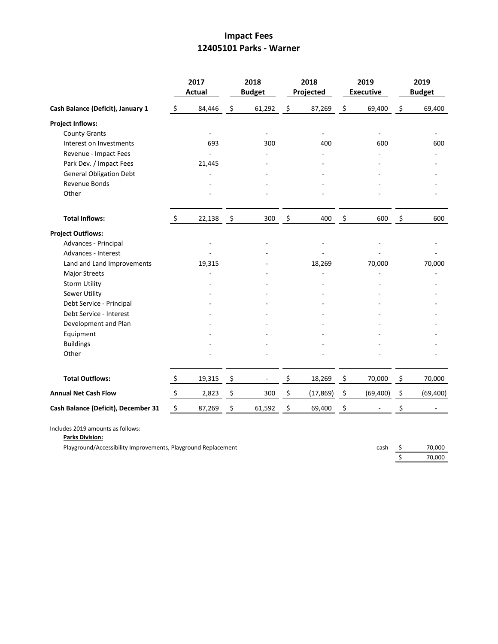## **Impact Fees 12405101 Parks - Warner**

|                                     |         | 2017<br><b>Actual</b> |                     | 2018<br><b>Budget</b> | 2018<br>Projected        | 2019<br><b>Executive</b> |      | 2019<br><b>Budget</b> |
|-------------------------------------|---------|-----------------------|---------------------|-----------------------|--------------------------|--------------------------|------|-----------------------|
| Cash Balance (Deficit), January 1   | $\zeta$ | 84,446                | $\ddot{\mathsf{S}}$ | 61,292                | \$<br>87,269             | \$<br>69,400             | \$   | 69,400                |
| <b>Project Inflows:</b>             |         |                       |                     |                       |                          |                          |      |                       |
| <b>County Grants</b>                |         |                       |                     |                       | $\overline{\phantom{a}}$ |                          |      |                       |
| Interest on Investments             |         | 693                   |                     | 300                   | 400                      | 600                      |      | 600                   |
| Revenue - Impact Fees               |         |                       |                     |                       |                          |                          |      |                       |
| Park Dev. / Impact Fees             |         | 21,445                |                     |                       |                          |                          |      |                       |
| <b>General Obligation Debt</b>      |         |                       |                     |                       |                          |                          |      |                       |
| Revenue Bonds                       |         |                       |                     |                       |                          |                          |      |                       |
| Other                               |         |                       |                     |                       |                          |                          |      |                       |
| <b>Total Inflows:</b>               | $\zeta$ | 22,138                | $\ddot{\mathsf{s}}$ | 300                   | \$<br>400                | \$<br>600                | - \$ | 600                   |
| <b>Project Outflows:</b>            |         |                       |                     |                       |                          |                          |      |                       |
| Advances - Principal                |         |                       |                     |                       |                          |                          |      |                       |
| Advances - Interest                 |         |                       |                     |                       |                          |                          |      |                       |
| Land and Land Improvements          |         | 19,315                |                     |                       | 18,269                   | 70,000                   |      | 70,000                |
| <b>Major Streets</b>                |         |                       |                     |                       |                          |                          |      |                       |
| <b>Storm Utility</b>                |         |                       |                     |                       |                          |                          |      |                       |
| Sewer Utility                       |         |                       |                     |                       |                          |                          |      |                       |
| Debt Service - Principal            |         |                       |                     |                       |                          |                          |      |                       |
| Debt Service - Interest             |         |                       |                     |                       |                          |                          |      |                       |
| Development and Plan                |         |                       |                     |                       |                          |                          |      |                       |
| Equipment                           |         |                       |                     |                       |                          |                          |      |                       |
| <b>Buildings</b>                    |         |                       |                     |                       |                          |                          |      |                       |
| Other                               |         |                       |                     |                       |                          |                          |      |                       |
| <b>Total Outflows:</b>              | $\zeta$ | 19,315                | - \$                |                       | \$<br>18,269             | \$<br>70,000             | \$   | 70,000                |
| <b>Annual Net Cash Flow</b>         | \$      | 2,823                 | \$                  | 300                   | \$<br>(17, 869)          | \$<br>(69, 400)          | \$   | (69, 400)             |
| Cash Balance (Deficit), December 31 | \$      | 87,269                | \$                  | 61,592                | \$<br>69,400             | \$                       | \$   |                       |

Includes 2019 amounts as follows:

**Parks Division:**

Playground/Accessibility Improvements, Playground Replacement

| cash | 70,000 |
|------|--------|
|      | 70,000 |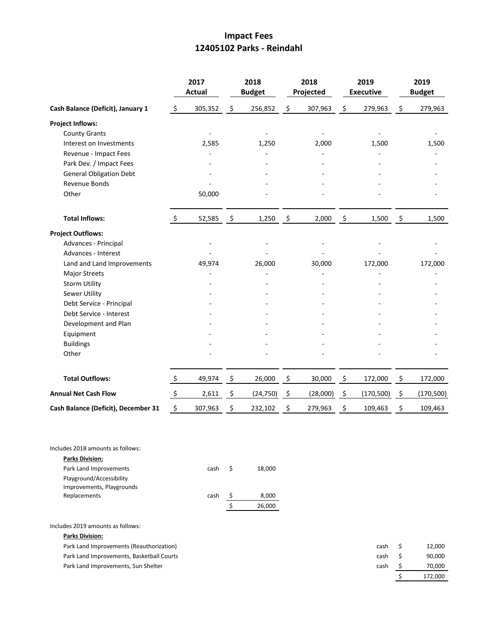## **Impact Fees 12405102 Parks - Reindahl**

|                                     |                     | 2017<br>Actual |                     | 2018<br><b>Budget</b> |                     | 2018<br>Projected |                | 2019<br><b>Executive</b> |                    | 2019<br><b>Budget</b> |
|-------------------------------------|---------------------|----------------|---------------------|-----------------------|---------------------|-------------------|----------------|--------------------------|--------------------|-----------------------|
| Cash Balance (Deficit), January 1   | $\ddot{\mathsf{S}}$ | 305,352        | $\ddot{\mathsf{S}}$ | 256,852               | \$                  | 307,963           | \$             | 279,963                  | \$                 | 279,963               |
| <b>Project Inflows:</b>             |                     |                |                     |                       |                     |                   |                |                          |                    |                       |
| <b>County Grants</b>                |                     |                |                     |                       |                     |                   |                |                          |                    |                       |
| Interest on Investments             |                     | 2,585          |                     | 1,250                 |                     | 2,000             |                | 1,500                    |                    | 1,500                 |
| Revenue - Impact Fees               |                     |                |                     |                       |                     |                   |                |                          |                    |                       |
| Park Dev. / Impact Fees             |                     |                |                     |                       |                     |                   |                |                          |                    |                       |
| <b>General Obligation Debt</b>      |                     |                |                     |                       |                     |                   |                |                          |                    |                       |
| Revenue Bonds                       |                     |                |                     |                       |                     |                   |                |                          |                    |                       |
| Other                               |                     | 50,000         |                     |                       |                     |                   |                |                          |                    |                       |
| <b>Total Inflows:</b>               | \$                  | 52,585         | - \$                | 1,250                 | $\ddot{\mathsf{s}}$ | 2,000             | $\mathfrak{S}$ | 1,500                    | $\ddot{\varsigma}$ | 1,500                 |
| <b>Project Outflows:</b>            |                     |                |                     |                       |                     |                   |                |                          |                    |                       |
| Advances - Principal                |                     |                |                     |                       |                     |                   |                |                          |                    |                       |
| Advances - Interest                 |                     |                |                     |                       |                     |                   |                |                          |                    |                       |
| Land and Land Improvements          |                     | 49,974         |                     | 26,000                |                     | 30,000            |                | 172,000                  |                    | 172,000               |
| <b>Major Streets</b>                |                     |                |                     |                       |                     |                   |                |                          |                    |                       |
| <b>Storm Utility</b>                |                     |                |                     |                       |                     |                   |                |                          |                    |                       |
| <b>Sewer Utility</b>                |                     |                |                     |                       |                     |                   |                |                          |                    |                       |
| Debt Service - Principal            |                     |                |                     |                       |                     |                   |                |                          |                    |                       |
| Debt Service - Interest             |                     |                |                     |                       |                     |                   |                |                          |                    |                       |
| Development and Plan                |                     |                |                     |                       |                     |                   |                |                          |                    |                       |
| Equipment                           |                     |                |                     |                       |                     |                   |                |                          |                    |                       |
| <b>Buildings</b>                    |                     |                |                     |                       |                     |                   |                |                          |                    |                       |
| Other                               |                     |                |                     |                       |                     |                   |                |                          |                    |                       |
| <b>Total Outflows:</b>              | $\zeta$             | 49,974         | $\mathfrak{S}$      | 26,000                | \$                  | 30,000            | \$             | 172,000                  | \$                 | 172,000               |
| <b>Annual Net Cash Flow</b>         | \$                  | 2,611          | \$                  | (24, 750)             | \$                  | (28,000)          | $\zeta$        | (170, 500)               | $\zeta$            | (170, 500)            |
| Cash Balance (Deficit), December 31 | \$                  | 307,963        | \$                  | 232,102               | \$                  | 279,963           | \$             | 109,463                  | \$                 | 109,463               |

| Includes 2018 amounts as follows: |      |   |        |
|-----------------------------------|------|---|--------|
| <b>Parks Division:</b>            |      |   |        |
| Park Land Improvements            | cash | S | 18,000 |
| Playground/Accessibility          |      |   |        |
| Improvements, Playgrounds         |      |   |        |
| Replacements                      | cash |   | 8,000  |
|                                   |      |   | 26,000 |
|                                   |      |   |        |

Includes 2019 amounts as follows:

**Parks Division:**

| Park Land Improvements (Reauthorization)  | cash | 12.000  |
|-------------------------------------------|------|---------|
| Park Land Improvements, Basketball Courts | cash | 90.000  |
| Park Land Improvements. Sun Shelter       | cash | 70,000  |
|                                           |      | 172.000 |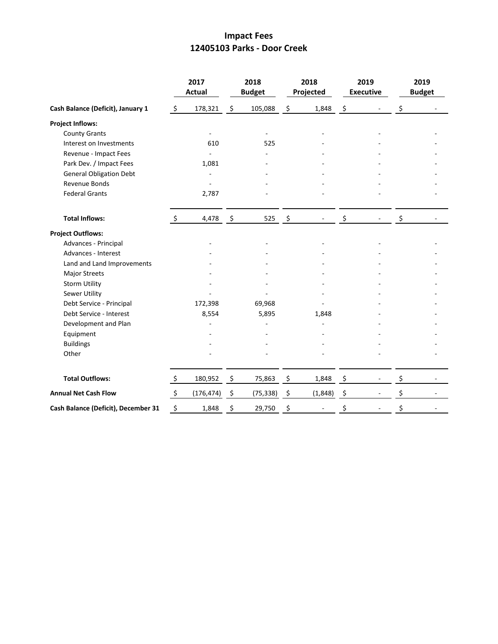## **Impact Fees 12405103 Parks - Door Creek**

|                                     |               | 2017<br><b>Actual</b> |                    | 2018<br><b>Budget</b> | 2018<br>Projected |         | 2019<br><b>Executive</b> | 2019<br><b>Budget</b> |
|-------------------------------------|---------------|-----------------------|--------------------|-----------------------|-------------------|---------|--------------------------|-----------------------|
| Cash Balance (Deficit), January 1   | \$            | 178,321               | $\ddot{\zeta}$     | 105,088               | \$<br>1,848       | $\zeta$ | $\overline{\phantom{a}}$ | \$                    |
| <b>Project Inflows:</b>             |               |                       |                    |                       |                   |         |                          |                       |
| <b>County Grants</b>                |               |                       |                    |                       |                   |         |                          |                       |
| Interest on Investments             |               | 610                   |                    | 525                   |                   |         |                          |                       |
| Revenue - Impact Fees               |               |                       |                    |                       |                   |         |                          |                       |
| Park Dev. / Impact Fees             |               | 1,081                 |                    |                       |                   |         |                          |                       |
| <b>General Obligation Debt</b>      |               |                       |                    |                       |                   |         |                          |                       |
| Revenue Bonds                       |               |                       |                    |                       |                   |         |                          |                       |
| <b>Federal Grants</b>               |               | 2,787                 |                    |                       |                   |         |                          |                       |
| <b>Total Inflows:</b>               | \$            | 4,478                 | - \$               | 525                   | \$                | \$      |                          | \$                    |
| <b>Project Outflows:</b>            |               |                       |                    |                       |                   |         |                          |                       |
| Advances - Principal                |               |                       |                    |                       |                   |         |                          |                       |
| Advances - Interest                 |               |                       |                    |                       |                   |         |                          |                       |
| Land and Land Improvements          |               |                       |                    |                       |                   |         |                          |                       |
| Major Streets                       |               |                       |                    |                       |                   |         |                          |                       |
| <b>Storm Utility</b>                |               |                       |                    |                       |                   |         |                          |                       |
| Sewer Utility                       |               |                       |                    |                       |                   |         |                          |                       |
| Debt Service - Principal            |               | 172,398               |                    | 69,968                |                   |         |                          |                       |
| Debt Service - Interest             |               | 8,554                 |                    | 5,895                 | 1,848             |         |                          |                       |
| Development and Plan                |               |                       |                    |                       |                   |         |                          |                       |
| Equipment                           |               |                       |                    |                       |                   |         |                          |                       |
| <b>Buildings</b>                    |               |                       |                    |                       |                   |         |                          |                       |
| Other                               |               |                       |                    |                       |                   |         |                          |                       |
| <b>Total Outflows:</b>              | $\zeta$       | 180,952               | $\ddot{\varsigma}$ | 75,863                | \$<br>1,848       | \$      | $\overline{\phantom{a}}$ | \$                    |
| <b>Annual Net Cash Flow</b>         | $\ddot{\phi}$ | (176, 474)            | \$                 | (75, 338)             | \$<br>(1, 848)    | \$      |                          | \$                    |
| Cash Balance (Deficit), December 31 | \$            | 1,848                 | \$                 | 29,750                | \$                | \$      |                          | \$                    |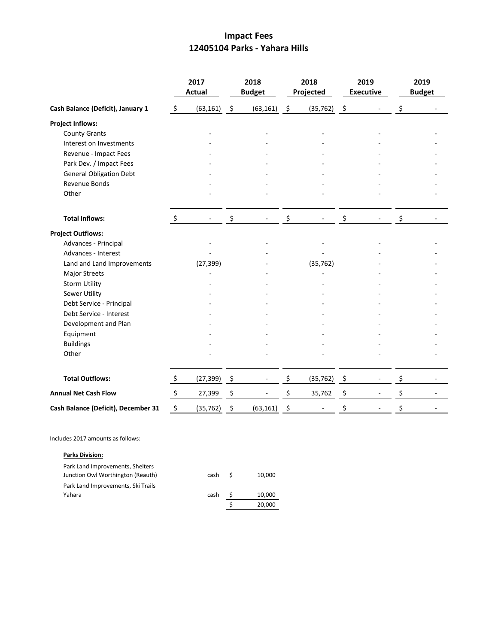## **Impact Fees 12405104 Parks - Yahara Hills**

|                                     |                | 2017<br><b>Actual</b> |                                | 2018<br><b>Budget</b> |                     | 2018<br>Projected |      | 2019<br><b>Executive</b> | 2019<br><b>Budget</b> |
|-------------------------------------|----------------|-----------------------|--------------------------------|-----------------------|---------------------|-------------------|------|--------------------------|-----------------------|
| Cash Balance (Deficit), January 1   | $\ddot{\zeta}$ | $(63, 161)$ \$        |                                | (63, 161)             | $\ddot{\mathsf{S}}$ | $(35, 762)$ \$    |      |                          | \$                    |
| <b>Project Inflows:</b>             |                |                       |                                |                       |                     |                   |      |                          |                       |
| <b>County Grants</b>                |                |                       |                                |                       |                     |                   |      |                          |                       |
| Interest on Investments             |                |                       |                                |                       |                     |                   |      |                          |                       |
| Revenue - Impact Fees               |                |                       |                                |                       |                     |                   |      |                          |                       |
| Park Dev. / Impact Fees             |                |                       |                                |                       |                     |                   |      |                          |                       |
| <b>General Obligation Debt</b>      |                |                       |                                |                       |                     |                   |      |                          |                       |
| Revenue Bonds                       |                |                       |                                |                       |                     |                   |      |                          |                       |
| Other                               |                |                       |                                |                       |                     |                   |      |                          |                       |
| <b>Total Inflows:</b>               | $\zeta$        |                       | \$                             |                       | \$                  |                   | \$   |                          | \$                    |
| <b>Project Outflows:</b>            |                |                       |                                |                       |                     |                   |      |                          |                       |
| Advances - Principal                |                |                       |                                |                       |                     |                   |      |                          |                       |
| Advances - Interest                 |                |                       |                                |                       |                     |                   |      |                          |                       |
| Land and Land Improvements          |                | (27, 399)             |                                |                       |                     | (35, 762)         |      |                          |                       |
| Major Streets                       |                |                       |                                |                       |                     |                   |      |                          |                       |
| <b>Storm Utility</b>                |                |                       |                                |                       |                     |                   |      |                          |                       |
| <b>Sewer Utility</b>                |                |                       |                                |                       |                     |                   |      |                          |                       |
| Debt Service - Principal            |                |                       |                                |                       |                     |                   |      |                          |                       |
| Debt Service - Interest             |                |                       |                                |                       |                     |                   |      |                          |                       |
| Development and Plan                |                |                       |                                |                       |                     |                   |      |                          |                       |
| Equipment                           |                |                       |                                |                       |                     |                   |      |                          |                       |
| <b>Buildings</b>                    |                |                       |                                |                       |                     |                   |      |                          |                       |
| Other                               |                |                       |                                |                       |                     |                   |      |                          |                       |
| <b>Total Outflows:</b>              | $\zeta$        | $(27,399)$ \$         |                                |                       | \$                  | (35, 762)         | - \$ | $\overline{\phantom{a}}$ | \$                    |
| <b>Annual Net Cash Flow</b>         | $\zeta$        | 27,399                | $\boldsymbol{\dot{\varsigma}}$ |                       | \$                  | 35,762            | \$   |                          | \$                    |
| Cash Balance (Deficit), December 31 | \$             | (35, 762)             | \$                             | (63, 161)             | \$                  |                   | \$   |                          | \$                    |

Includes 2017 amounts as follows:

### **Parks Division:**

| Park Land Improvements, Shelters   |      |    |        |
|------------------------------------|------|----|--------|
| Junction Owl Worthington (Reauth)  | cash | -S | 10.000 |
| Park Land Improvements, Ski Trails |      |    |        |
| Yahara                             | cash |    | 10,000 |
|                                    |      |    | 20,000 |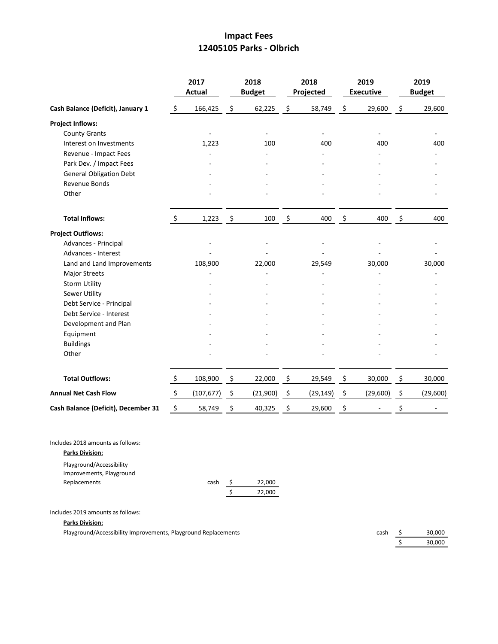## **Impact Fees 12405105 Parks - Olbrich**

|                                     |                           | 2017<br><b>Actual</b> |               | 2018<br><b>Budget</b> |               | 2018<br>Projected |                    | 2019<br><b>Executive</b> |         | 2019<br><b>Budget</b> |
|-------------------------------------|---------------------------|-----------------------|---------------|-----------------------|---------------|-------------------|--------------------|--------------------------|---------|-----------------------|
| Cash Balance (Deficit), January 1   | \$                        | 166,425               | \$            | 62,225                | \$            | 58,749            | \$                 | 29,600                   | \$      | 29,600                |
| <b>Project Inflows:</b>             |                           |                       |               |                       |               |                   |                    |                          |         |                       |
| <b>County Grants</b>                |                           |                       |               |                       |               |                   |                    |                          |         |                       |
| Interest on Investments             |                           | 1,223                 |               | 100                   |               | 400               |                    | 400                      |         | 400                   |
| Revenue - Impact Fees               |                           |                       |               |                       |               |                   |                    |                          |         |                       |
| Park Dev. / Impact Fees             |                           |                       |               |                       |               |                   |                    |                          |         |                       |
| <b>General Obligation Debt</b>      |                           |                       |               |                       |               |                   |                    |                          |         |                       |
| <b>Revenue Bonds</b>                |                           |                       |               |                       |               |                   |                    |                          |         |                       |
| Other                               |                           |                       |               |                       |               |                   |                    |                          |         |                       |
| <b>Total Inflows:</b>               | $\ddot{\zeta}$            | 1,223                 | $\rightarrow$ | 100                   | $\frac{5}{2}$ | 400               | $\frac{5}{2}$      | 400                      | $\zeta$ | 400                   |
| <b>Project Outflows:</b>            |                           |                       |               |                       |               |                   |                    |                          |         |                       |
| Advances - Principal                |                           |                       |               |                       |               |                   |                    |                          |         |                       |
| Advances - Interest                 |                           |                       |               |                       |               |                   |                    |                          |         |                       |
| Land and Land Improvements          |                           | 108,900               |               | 22,000                |               | 29,549            |                    | 30,000                   |         | 30,000                |
| <b>Major Streets</b>                |                           |                       |               |                       |               |                   |                    |                          |         |                       |
| <b>Storm Utility</b>                |                           |                       |               |                       |               |                   |                    |                          |         |                       |
| <b>Sewer Utility</b>                |                           |                       |               |                       |               |                   |                    |                          |         |                       |
| Debt Service - Principal            |                           |                       |               |                       |               |                   |                    |                          |         |                       |
| Debt Service - Interest             |                           |                       |               |                       |               |                   |                    |                          |         |                       |
| Development and Plan                |                           |                       |               |                       |               |                   |                    |                          |         |                       |
| Equipment                           |                           |                       |               |                       |               |                   |                    |                          |         |                       |
| <b>Buildings</b>                    |                           |                       |               |                       |               |                   |                    |                          |         |                       |
| Other                               |                           |                       |               |                       |               |                   |                    |                          |         |                       |
| <b>Total Outflows:</b>              | \$                        | 108,900               | \$            | 22,000                | \$            | 29,549            | \$                 | 30,000                   | \$      | 30,000                |
| <b>Annual Net Cash Flow</b>         | $\ddot{\varsigma}$        | (107, 677)            | - \$          | (21,900)              | \$            | (29, 149)         | $\ddot{\varsigma}$ | (29,600)                 | - \$    | (29,600)              |
| Cash Balance (Deficit), December 31 | $\boldsymbol{\mathsf{S}}$ | 58,749                | - \$          | 40,325                | \$            | 29,600            | \$                 |                          | \$      |                       |

Includes 2018 amounts as follows:

**Parks Division:**

| Playground/Accessibility |      |        |
|--------------------------|------|--------|
| Improvements, Playground |      |        |
| Replacements             | cash | 22,000 |
|                          |      | 22.000 |

Includes 2019 amounts as follows:

**Parks Division:**

Playground/Accessibility Improvements, Playground Replacements cash \$ 30,000

 $\frac{1}{5}$  30,000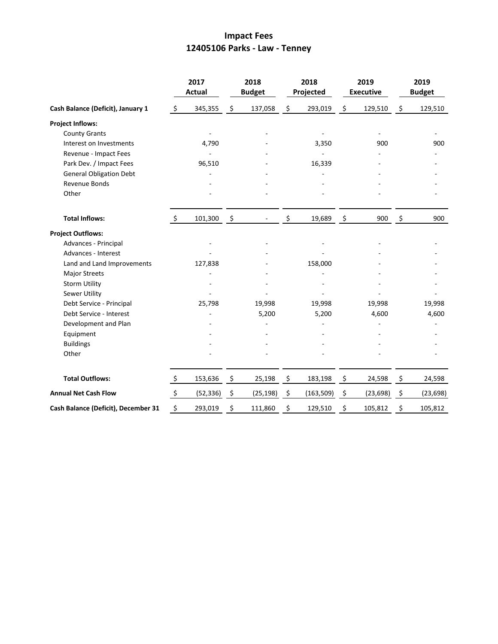## **Impact Fees 12405106 Parks - Law - Tenney**

|                                     | 2017<br><b>Actual</b> |           | 2018<br><b>Budget</b> |           | 2018<br>Projected |               | 2019<br><b>Executive</b> |    | 2019<br><b>Budget</b> |  |
|-------------------------------------|-----------------------|-----------|-----------------------|-----------|-------------------|---------------|--------------------------|----|-----------------------|--|
| Cash Balance (Deficit), January 1   | \$                    | 345,355   | \$                    | 137,058   | \$<br>293,019     | \$            | 129,510                  | \$ | 129,510               |  |
| <b>Project Inflows:</b>             |                       |           |                       |           |                   |               |                          |    |                       |  |
| <b>County Grants</b>                |                       |           |                       |           |                   |               |                          |    |                       |  |
| Interest on Investments             |                       | 4,790     |                       |           | 3,350             |               | 900                      |    | 900                   |  |
| Revenue - Impact Fees               |                       |           |                       |           |                   |               |                          |    |                       |  |
| Park Dev. / Impact Fees             |                       | 96,510    |                       |           | 16,339            |               |                          |    |                       |  |
| <b>General Obligation Debt</b>      |                       |           |                       |           |                   |               |                          |    |                       |  |
| Revenue Bonds                       |                       |           |                       |           |                   |               |                          |    |                       |  |
| Other                               |                       |           |                       |           |                   |               |                          |    |                       |  |
| <b>Total Inflows:</b>               | $\ddot{\mathsf{S}}$   | 101,300   | $\ddot{\mathsf{s}}$   |           | \$<br>19,689      | \$            | 900                      | \$ | 900                   |  |
| <b>Project Outflows:</b>            |                       |           |                       |           |                   |               |                          |    |                       |  |
| Advances - Principal                |                       |           |                       |           |                   |               |                          |    |                       |  |
| Advances - Interest                 |                       |           |                       |           |                   |               |                          |    |                       |  |
| Land and Land Improvements          |                       | 127,838   |                       |           | 158,000           |               |                          |    |                       |  |
| <b>Major Streets</b>                |                       |           |                       |           |                   |               |                          |    |                       |  |
| <b>Storm Utility</b>                |                       |           |                       |           |                   |               |                          |    |                       |  |
| <b>Sewer Utility</b>                |                       |           |                       |           |                   |               |                          |    |                       |  |
| Debt Service - Principal            |                       | 25,798    |                       | 19,998    | 19,998            |               | 19,998                   |    | 19,998                |  |
| Debt Service - Interest             |                       |           |                       | 5,200     | 5,200             |               | 4,600                    |    | 4,600                 |  |
| Development and Plan                |                       |           |                       |           |                   |               |                          |    |                       |  |
| Equipment                           |                       |           |                       |           |                   |               |                          |    |                       |  |
| <b>Buildings</b>                    |                       |           |                       |           |                   |               |                          |    |                       |  |
| Other                               |                       |           |                       |           |                   |               |                          |    |                       |  |
| <b>Total Outflows:</b>              | $\ddot{\varsigma}$    | 153,636   | $\ddot{\varsigma}$    | 25,198    | \$<br>183,198     | $\frac{5}{2}$ | 24,598                   | \$ | 24,598                |  |
| <b>Annual Net Cash Flow</b>         | $\ddot{\zeta}$        | (52, 336) | \$                    | (25, 198) | \$<br>(163, 509)  | \$            | (23, 698)                | \$ | (23, 698)             |  |
| Cash Balance (Deficit), December 31 | \$                    | 293,019   | \$                    | 111,860   | \$<br>129,510     | \$            | 105,812                  | \$ | 105,812               |  |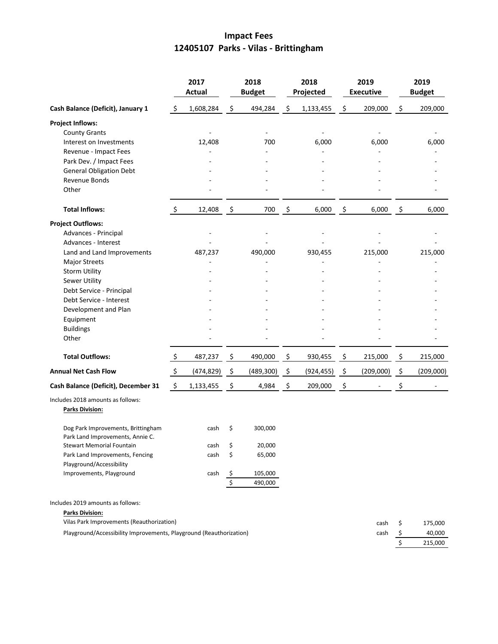# **Impact Fees 12405107 Parks - Vilas - Brittingham**

|                                                                        |                           | 2017<br><b>Actual</b> |                    | 2018<br><b>Budget</b> |    | 2018<br>Projected | 2019<br><b>Executive</b> | 2019<br><b>Budget</b> |           |
|------------------------------------------------------------------------|---------------------------|-----------------------|--------------------|-----------------------|----|-------------------|--------------------------|-----------------------|-----------|
| Cash Balance (Deficit), January 1                                      | $\ddot{\mathsf{S}}$       | 1,608,284             | \$                 | 494,284               | \$ | 1,133,455         | \$<br>209,000            | \$                    | 209,000   |
| <b>Project Inflows:</b>                                                |                           |                       |                    |                       |    |                   |                          |                       |           |
| <b>County Grants</b>                                                   |                           |                       |                    |                       |    |                   |                          |                       |           |
| Interest on Investments                                                |                           | 12,408                |                    | 700                   |    | 6,000             | 6,000                    |                       | 6,000     |
| Revenue - Impact Fees                                                  |                           |                       |                    |                       |    |                   |                          |                       |           |
| Park Dev. / Impact Fees                                                |                           |                       |                    |                       |    |                   |                          |                       |           |
| <b>General Obligation Debt</b>                                         |                           |                       |                    |                       |    |                   |                          |                       |           |
| Revenue Bonds<br>Other                                                 |                           |                       |                    |                       |    |                   |                          |                       |           |
| <b>Total Inflows:</b>                                                  | \$                        | 12,408                | \$                 | 700                   | \$ | 6,000             | \$<br>6,000              | \$                    | 6,000     |
| <b>Project Outflows:</b>                                               |                           |                       |                    |                       |    |                   |                          |                       |           |
| Advances - Principal                                                   |                           |                       |                    |                       |    |                   |                          |                       |           |
| Advances - Interest                                                    |                           |                       |                    |                       |    |                   |                          |                       |           |
| Land and Land Improvements                                             |                           | 487,237               |                    | 490,000               |    | 930,455           | 215,000                  |                       | 215,000   |
| <b>Major Streets</b>                                                   |                           |                       |                    |                       |    |                   |                          |                       |           |
| <b>Storm Utility</b>                                                   |                           |                       |                    |                       |    |                   |                          |                       |           |
| Sewer Utility                                                          |                           |                       |                    |                       |    |                   |                          |                       |           |
| Debt Service - Principal                                               |                           |                       |                    |                       |    |                   |                          |                       |           |
| Debt Service - Interest                                                |                           |                       |                    |                       |    |                   |                          |                       |           |
| Development and Plan                                                   |                           |                       |                    |                       |    |                   |                          |                       |           |
| Equipment<br><b>Buildings</b>                                          |                           |                       |                    |                       |    |                   |                          |                       |           |
| Other                                                                  |                           |                       |                    |                       |    |                   |                          |                       |           |
| <b>Total Outflows:</b>                                                 | \$                        | 487,237               | $\ddot{\varsigma}$ | 490,000               | \$ | 930,455           | \$<br>215,000            | \$                    | 215,000   |
| <b>Annual Net Cash Flow</b>                                            | $\boldsymbol{\mathsf{S}}$ | (474, 829)            | - \$               | (489, 300)            | \$ | (924, 455)        | \$<br>(209,000)          | \$                    | (209,000) |
| Cash Balance (Deficit), December 31                                    | \$                        | 1,133,455             | \$                 | 4,984                 | \$ | 209,000           | \$                       | \$                    |           |
| Includes 2018 amounts as follows:<br><b>Parks Division:</b>            |                           |                       |                    |                       |    |                   |                          |                       |           |
| Dog Park Improvements, Brittingham<br>Park Land Improvements, Annie C. |                           | cash                  | \$                 | 300,000               |    |                   |                          |                       |           |
| Stewart Memorial Fountain                                              |                           | cash                  | \$                 | 20,000                |    |                   |                          |                       |           |
| Park Land Improvements, Fencing<br>Playground/Accessibility            |                           | cash                  | \$                 | 65,000                |    |                   |                          |                       |           |
| Improvements, Playground                                               |                           | cash                  | $\zeta$            | 105,000               |    |                   |                          |                       |           |
|                                                                        |                           |                       | $\overline{\xi}$   | 490,000               |    |                   |                          |                       |           |
| Includes 2019 amounts as follows:                                      |                           |                       |                    |                       |    |                   |                          |                       |           |
| <b>Parks Division:</b>                                                 |                           |                       |                    |                       |    |                   |                          |                       |           |
| Vilas Park Improvements (Reauthorization)                              |                           |                       |                    |                       |    |                   | cash                     | \$                    | 175,000   |
| Playground/Accessibility Improvements, Playground (Reauthorization)    |                           |                       |                    |                       |    |                   | cash                     | \$                    | 40,000    |

| саэн | 40,000  |
|------|---------|
|      | 215,000 |
|      |         |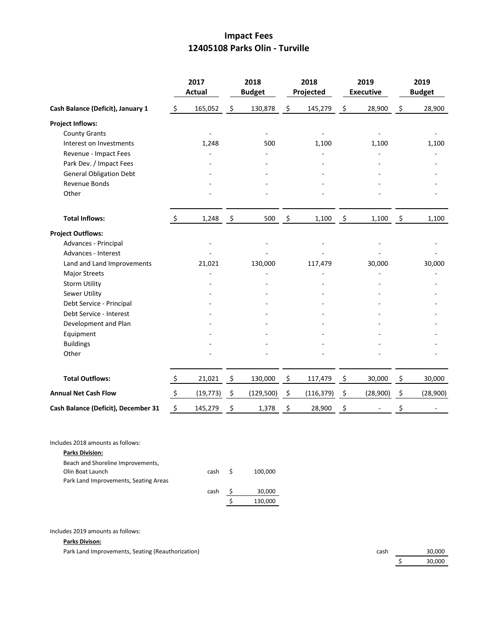## **Impact Fees 12405108 Parks Olin - Turville**

|                                     | 2017<br><b>Actual</b> |            | 2018<br><b>Budget</b> |            |                          | 2018<br>Projected | 2019<br><b>Executive</b> |          | 2019<br><b>Budget</b> |          |
|-------------------------------------|-----------------------|------------|-----------------------|------------|--------------------------|-------------------|--------------------------|----------|-----------------------|----------|
| Cash Balance (Deficit), January 1   | $\ddot{\varsigma}$    | 165,052    | \$                    | 130,878    | \$                       | 145,279           | \$                       | 28,900   | \$                    | 28,900   |
| <b>Project Inflows:</b>             |                       |            |                       |            |                          |                   |                          |          |                       |          |
| <b>County Grants</b>                |                       |            |                       |            |                          |                   |                          |          |                       |          |
| Interest on Investments             |                       | 1,248      |                       | 500        |                          | 1,100             |                          | 1,100    |                       | 1,100    |
| Revenue - Impact Fees               |                       |            |                       |            |                          |                   |                          |          |                       |          |
| Park Dev. / Impact Fees             |                       |            |                       |            |                          |                   |                          |          |                       |          |
| <b>General Obligation Debt</b>      |                       |            |                       |            |                          |                   |                          |          |                       |          |
| Revenue Bonds                       |                       |            |                       |            |                          |                   |                          |          |                       |          |
| Other                               |                       |            |                       |            |                          |                   |                          |          |                       |          |
| <b>Total Inflows:</b>               | $\ddot{\mathsf{S}}$   | $1,248$ \$ |                       | 500        | $\overline{\mathcal{S}}$ | 1,100             | $\ddot{\mathsf{s}}$      | 1,100    | $\ddot{\mathsf{s}}$   | 1,100    |
| <b>Project Outflows:</b>            |                       |            |                       |            |                          |                   |                          |          |                       |          |
| Advances - Principal                |                       |            |                       |            |                          |                   |                          |          |                       |          |
| Advances - Interest                 |                       |            |                       |            |                          |                   |                          |          |                       |          |
| Land and Land Improvements          |                       | 21,021     |                       | 130,000    |                          | 117,479           |                          | 30,000   |                       | 30,000   |
| <b>Major Streets</b>                |                       |            |                       |            |                          |                   |                          |          |                       |          |
| <b>Storm Utility</b>                |                       |            |                       |            |                          |                   |                          |          |                       |          |
| <b>Sewer Utility</b>                |                       |            |                       |            |                          |                   |                          |          |                       |          |
| Debt Service - Principal            |                       |            |                       |            |                          |                   |                          |          |                       |          |
| Debt Service - Interest             |                       |            |                       |            |                          |                   |                          |          |                       |          |
| Development and Plan                |                       |            |                       |            |                          |                   |                          |          |                       |          |
| Equipment                           |                       |            |                       |            |                          |                   |                          |          |                       |          |
| <b>Buildings</b>                    |                       |            |                       |            |                          |                   |                          |          |                       |          |
| Other                               |                       |            |                       |            |                          |                   |                          |          |                       |          |
| <b>Total Outflows:</b>              | \$                    | 21,021     | \$                    | 130,000    | \$                       | 117,479           | \$                       | 30,000   | \$                    | 30,000   |
| <b>Annual Net Cash Flow</b>         | $\ddot{\phi}$         | (19, 773)  | $\frac{5}{2}$         | (129, 500) | \$                       | (116, 379)        | $\ddot{\mathsf{S}}$      | (28,900) | \$                    | (28,900) |
| Cash Balance (Deficit), December 31 | \$                    | 145,279    | \$                    | 1,378      | \$                       | 28,900            | \$                       |          | \$                    |          |

Includes 2018 amounts as follows:

**Parks Division:**

| Beach and Shoreline Improvements,     |      |     |         |
|---------------------------------------|------|-----|---------|
| Olin Boat Launch                      | cash | - S | 100,000 |
| Park Land Improvements, Seating Areas |      |     |         |
|                                       | cash |     | 30,000  |
|                                       |      |     | 130,000 |

Includes 2019 amounts as follows:

### **Parks Divison:**

Park Land Improvements, Seating (Reauthorization) cash 30,000

\$ 30,000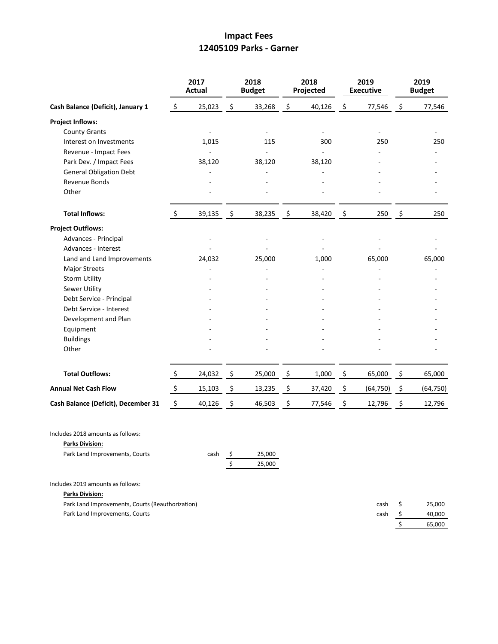## **Impact Fees 12405109 Parks - Garner**

|                                                             | 2017<br><b>Actual</b> |        | 2018<br><b>Budget</b> |                  | 2018<br>Projected |        |         | 2019<br><b>Executive</b> | 2019<br><b>Budget</b> |           |
|-------------------------------------------------------------|-----------------------|--------|-----------------------|------------------|-------------------|--------|---------|--------------------------|-----------------------|-----------|
| Cash Balance (Deficit), January 1                           | $\zeta$               | 25,023 | - \$                  | 33,268           | \$                | 40,126 | $\zeta$ | 77,546                   | $\ddot{\varsigma}$    | 77,546    |
| <b>Project Inflows:</b>                                     |                       |        |                       |                  |                   |        |         |                          |                       |           |
| <b>County Grants</b>                                        |                       |        |                       | $\blacksquare$   |                   |        |         |                          |                       |           |
| Interest on Investments                                     |                       | 1,015  |                       | 115              |                   | 300    |         | 250                      |                       | 250       |
| Revenue - Impact Fees                                       |                       |        |                       |                  |                   |        |         |                          |                       |           |
| Park Dev. / Impact Fees                                     |                       | 38,120 |                       | 38,120           |                   | 38,120 |         |                          |                       |           |
| <b>General Obligation Debt</b>                              |                       |        |                       |                  |                   |        |         |                          |                       |           |
| Revenue Bonds                                               |                       |        |                       |                  |                   |        |         |                          |                       |           |
| Other                                                       |                       |        |                       |                  |                   |        |         |                          |                       |           |
| <b>Total Inflows:</b>                                       | $\zeta$               | 39,135 | - \$                  | 38,235           | \$                | 38,420 | \$      | 250                      | $\ddot{\mathsf{S}}$   | 250       |
| <b>Project Outflows:</b>                                    |                       |        |                       |                  |                   |        |         |                          |                       |           |
| Advances - Principal                                        |                       |        |                       |                  |                   |        |         |                          |                       |           |
| Advances - Interest                                         |                       |        |                       |                  |                   |        |         |                          |                       |           |
| Land and Land Improvements                                  |                       | 24,032 |                       | 25,000           |                   | 1,000  |         | 65,000                   |                       | 65,000    |
| <b>Major Streets</b>                                        |                       |        |                       |                  |                   |        |         |                          |                       |           |
| <b>Storm Utility</b>                                        |                       |        |                       |                  |                   |        |         |                          |                       |           |
| Sewer Utility                                               |                       |        |                       |                  |                   |        |         |                          |                       |           |
| Debt Service - Principal                                    |                       |        |                       |                  |                   |        |         |                          |                       |           |
| Debt Service - Interest                                     |                       |        |                       |                  |                   |        |         |                          |                       |           |
| Development and Plan                                        |                       |        |                       |                  |                   |        |         |                          |                       |           |
| Equipment                                                   |                       |        |                       |                  |                   |        |         |                          |                       |           |
| <b>Buildings</b>                                            |                       |        |                       |                  |                   |        |         |                          |                       |           |
| Other                                                       |                       |        |                       |                  |                   |        |         |                          |                       |           |
| <b>Total Outflows:</b>                                      | $\ddot{\mathsf{S}}$   | 24,032 | - \$                  | 25,000           | \$                | 1,000  | \$      | 65,000                   | \$                    | 65,000    |
| <b>Annual Net Cash Flow</b>                                 | \$                    | 15,103 | - \$                  | 13,235           | \$                | 37,420 | \$      | (64, 750)                | $\zeta$               | (64, 750) |
| Cash Balance (Deficit), December 31                         | \$                    | 40,126 | \$                    | 46,503           | \$                | 77,546 | \$      | 12,796                   | \$                    | 12,796    |
| Includes 2018 amounts as follows:<br><b>Parks Division:</b> |                       |        |                       |                  |                   |        |         |                          |                       |           |
| Park Land Improvements, Courts                              |                       | cash   | -\$<br>\$             | 25,000<br>25,000 |                   |        |         |                          |                       |           |
| Includes 2019 amounts as follows:                           |                       |        |                       |                  |                   |        |         |                          |                       |           |
| <b>Parks Division:</b>                                      |                       |        |                       |                  |                   |        |         |                          |                       |           |
| Park Land Improvements, Courts (Reauthorization)            |                       |        |                       |                  |                   |        |         | cash                     | \$                    | 25,000    |
| Park Land Improvements, Courts                              |                       |        |                       |                  |                   |        |         | cash                     | \$                    | 40,000    |

| ısh | S | 40,000 |
|-----|---|--------|
|     | S | 65,000 |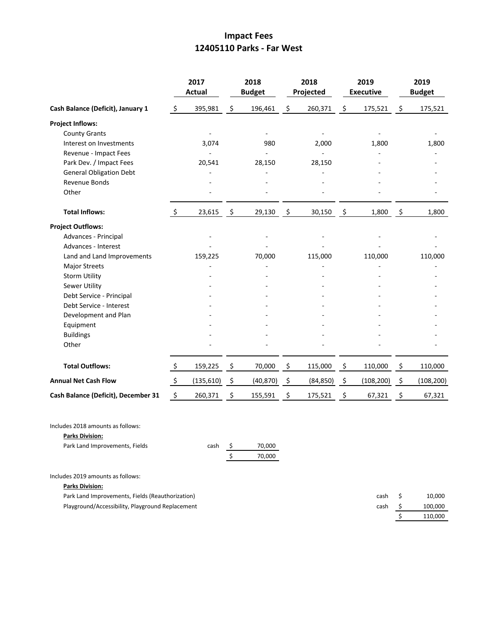# **Impact Fees 12405110 Parks - Far West**

| Cash Balance (Deficit), January 1   |                    | 2017<br><b>Actual</b> |                     | 2018<br><b>Budget</b>    |    | 2018<br>Projected | 2019<br><b>Executive</b> |            | 2019<br><b>Budget</b> |            |
|-------------------------------------|--------------------|-----------------------|---------------------|--------------------------|----|-------------------|--------------------------|------------|-----------------------|------------|
|                                     |                    | 395,981               | \$                  | 196,461                  | \$ | 260,371           | \$                       | 175,521    | \$                    | 175,521    |
| <b>Project Inflows:</b>             |                    |                       |                     |                          |    |                   |                          |            |                       |            |
| <b>County Grants</b>                |                    |                       |                     | $\overline{\phantom{a}}$ |    |                   |                          |            |                       |            |
| Interest on Investments             |                    | 3,074                 |                     | 980                      |    | 2,000             |                          | 1,800      |                       | 1,800      |
| Revenue - Impact Fees               |                    |                       |                     |                          |    |                   |                          |            |                       |            |
| Park Dev. / Impact Fees             |                    | 20,541                |                     | 28,150                   |    | 28,150            |                          |            |                       |            |
| <b>General Obligation Debt</b>      |                    |                       |                     |                          |    |                   |                          |            |                       |            |
| Revenue Bonds                       |                    |                       |                     |                          |    |                   |                          |            |                       |            |
| Other                               |                    |                       |                     |                          |    |                   |                          |            |                       |            |
| <b>Total Inflows:</b>               | $\ddot{\zeta}$     | 23,615                | $\frac{5}{2}$       | 29,130                   | \$ | 30,150            | \$                       | 1,800      | \$                    | 1,800      |
| <b>Project Outflows:</b>            |                    |                       |                     |                          |    |                   |                          |            |                       |            |
| Advances - Principal                |                    |                       |                     |                          |    |                   |                          |            |                       |            |
| Advances - Interest                 |                    |                       |                     |                          |    |                   |                          |            |                       |            |
| Land and Land Improvements          |                    | 159,225               |                     | 70,000                   |    | 115,000           |                          | 110,000    |                       | 110,000    |
| <b>Major Streets</b>                |                    |                       |                     |                          |    |                   |                          |            |                       |            |
| <b>Storm Utility</b>                |                    |                       |                     |                          |    |                   |                          |            |                       |            |
| Sewer Utility                       |                    |                       |                     |                          |    |                   |                          |            |                       |            |
| Debt Service - Principal            |                    |                       |                     |                          |    |                   |                          |            |                       |            |
| Debt Service - Interest             |                    |                       |                     |                          |    |                   |                          |            |                       |            |
| Development and Plan                |                    |                       |                     |                          |    |                   |                          |            |                       |            |
| Equipment                           |                    |                       |                     |                          |    |                   |                          |            |                       |            |
| <b>Buildings</b>                    |                    |                       |                     |                          |    |                   |                          |            |                       |            |
| Other                               |                    |                       |                     |                          |    |                   |                          |            |                       |            |
| <b>Total Outflows:</b>              | $\frac{1}{2}$      | 159,225               | \$                  | 70,000                   | \$ | 115,000           | \$                       | 110,000    | \$                    | 110,000    |
| <b>Annual Net Cash Flow</b>         | $\frac{1}{2}$      | (135, 610)            | $\ddot{\mathsf{S}}$ | (40, 870)                | \$ | (84, 850)         | \$                       | (108, 200) | -\$                   | (108, 200) |
| Cash Balance (Deficit), December 31 | $\ddot{\varsigma}$ | 260,371               | \$                  | 155,591                  | \$ | 175,521           | \$                       | 67,321     | \$                    | 67,321     |
|                                     |                    |                       |                     |                          |    |                   |                          |            |                       |            |

### **Parks Division:**

| Park Land Improvements, Fields | cash | 70.000 |
|--------------------------------|------|--------|
|                                |      | 70.000 |

### Includes 2019 amounts as follows:

**Parks Division:**

| Park Land Improvements, Fields (Reauthorization) | cash S | 10.000  |
|--------------------------------------------------|--------|---------|
| Playground/Accessibility, Playground Replacement | cash S | 100.000 |
|                                                  |        | 110.000 |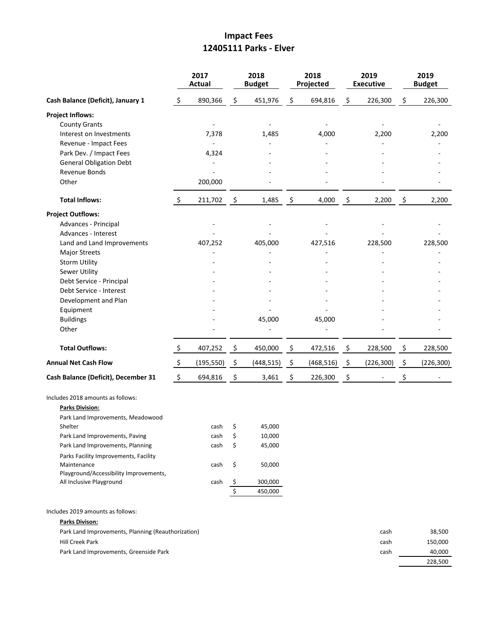## **Impact Fees 12405111 Parks - Elver**

| S  | 890,366<br>7,378         | \$                                      | 451,976                    | \$                                             | 694,816    | \$,    | 226,300    | \$<br>226,300    |
|----|--------------------------|-----------------------------------------|----------------------------|------------------------------------------------|------------|--------|------------|------------------|
|    |                          |                                         |                            |                                                |            |        |            |                  |
|    |                          |                                         |                            |                                                |            |        |            |                  |
|    |                          |                                         |                            |                                                |            |        |            |                  |
|    |                          |                                         | 1,485                      |                                                | 4,000      |        | 2,200      | 2,200            |
|    | $\overline{\phantom{a}}$ |                                         |                            |                                                |            |        |            |                  |
|    | 4,324                    |                                         |                            |                                                |            |        |            |                  |
|    |                          |                                         |                            |                                                |            |        |            |                  |
|    | 200,000                  |                                         |                            |                                                |            |        |            |                  |
| \$ |                          |                                         | 1,485                      |                                                | 4,000      |        | 2,200      | 2,200            |
|    |                          |                                         |                            |                                                |            |        |            |                  |
|    |                          |                                         |                            |                                                |            |        |            |                  |
|    |                          |                                         |                            |                                                |            |        |            |                  |
|    | 407,252                  |                                         | 405,000                    |                                                | 427,516    |        | 228,500    | 228,500          |
|    |                          |                                         |                            |                                                |            |        |            |                  |
|    |                          |                                         |                            |                                                |            |        |            |                  |
|    |                          |                                         |                            |                                                |            |        |            |                  |
|    |                          |                                         |                            |                                                |            |        |            |                  |
|    |                          |                                         |                            |                                                |            |        |            |                  |
|    |                          |                                         |                            |                                                |            |        |            |                  |
|    |                          |                                         |                            |                                                |            |        |            |                  |
|    |                          |                                         |                            |                                                |            |        |            |                  |
|    |                          |                                         |                            |                                                |            |        |            |                  |
| \$ | 407,252                  | \$                                      | 450,000                    | \$                                             | 472,516    | \$,    | 228,500    | \$<br>228,500    |
| \$ | (195, 550)               | \$                                      | (448, 515)                 | \$                                             | (468, 516) | \$     | (226, 300) | \$<br>(226, 300) |
| \$ | 694,816                  | \$                                      | 3,461                      | \$                                             | 226,300    | \$     |            | \$<br>$\sim$     |
|    |                          |                                         |                            |                                                |            |        |            |                  |
|    |                          |                                         |                            |                                                |            |        |            |                  |
|    |                          |                                         |                            |                                                |            |        |            |                  |
|    |                          |                                         |                            |                                                |            |        |            |                  |
|    |                          |                                         |                            |                                                |            |        |            |                  |
|    |                          |                                         |                            |                                                |            |        |            |                  |
|    |                          |                                         |                            |                                                |            |        |            |                  |
|    |                          |                                         |                            |                                                |            |        |            |                  |
|    | cash                     |                                         | 300,000                    |                                                |            |        |            |                  |
|    |                          |                                         | 450,000                    |                                                |            |        |            |                  |
|    |                          | 211,702<br>cash<br>cash<br>cash<br>cash | \$<br>\$<br>Ś.<br>\$<br>\$ | 45,000<br>45,000<br>10,000<br>45,000<br>50,000 | \$         | 45,000 | \$         | \$               |

| Park Land Improvements, Planning (Reauthorization) | cash | 38.500  |
|----------------------------------------------------|------|---------|
| Hill Creek Park                                    | cash | 150.000 |
| Park Land Improvements, Greenside Park             | cash | 40.000  |
|                                                    |      | 228.500 |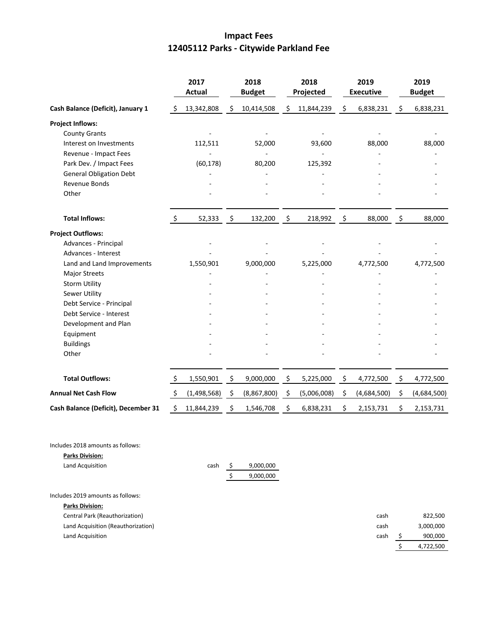# **Impact Fees 12405112 Parks - Citywide Parkland Fee**

|                                     |         | 2017<br><b>Actual</b> | 2018<br><b>Budget</b> | 2018<br>Projected | 2019<br><b>Executive</b> | 2019<br><b>Budget</b> |
|-------------------------------------|---------|-----------------------|-----------------------|-------------------|--------------------------|-----------------------|
| Cash Balance (Deficit), January 1   | -\$     | 13,342,808            | \$<br>10,414,508      | \$<br>11,844,239  | \$<br>6,838,231          | \$<br>6,838,231       |
| <b>Project Inflows:</b>             |         |                       |                       |                   |                          |                       |
| <b>County Grants</b>                |         |                       |                       |                   |                          |                       |
| Interest on Investments             |         | 112,511               | 52,000                | 93,600            | 88,000                   | 88,000                |
| Revenue - Impact Fees               |         |                       |                       |                   |                          |                       |
| Park Dev. / Impact Fees             |         | (60, 178)             | 80,200                | 125,392           |                          |                       |
| <b>General Obligation Debt</b>      |         |                       |                       |                   |                          |                       |
| Revenue Bonds                       |         |                       |                       |                   |                          |                       |
| Other                               |         |                       |                       |                   |                          |                       |
| <b>Total Inflows:</b>               | $\zeta$ | 52,333                | \$<br>132,200         | \$<br>218,992     | \$<br>88,000             | \$<br>88,000          |
| <b>Project Outflows:</b>            |         |                       |                       |                   |                          |                       |
| Advances - Principal                |         |                       |                       |                   |                          |                       |
| Advances - Interest                 |         |                       |                       |                   |                          |                       |
| Land and Land Improvements          |         | 1,550,901             | 9,000,000             | 5,225,000         | 4,772,500                | 4,772,500             |
| Major Streets                       |         |                       |                       |                   |                          |                       |
| <b>Storm Utility</b>                |         |                       |                       |                   |                          |                       |
| Sewer Utility                       |         |                       |                       |                   |                          |                       |
| Debt Service - Principal            |         |                       |                       |                   |                          |                       |
| Debt Service - Interest             |         |                       |                       |                   |                          |                       |
| Development and Plan                |         |                       |                       |                   |                          |                       |
| Equipment                           |         |                       |                       |                   |                          |                       |
| <b>Buildings</b>                    |         |                       |                       |                   |                          |                       |
| Other                               |         |                       |                       |                   |                          |                       |
| <b>Total Outflows:</b>              | \$      | 1,550,901             | \$<br>9,000,000       | \$<br>5,225,000   | \$<br>4,772,500          | \$<br>4,772,500       |
| <b>Annual Net Cash Flow</b>         | $\zeta$ | (1,498,568)           | \$<br>(8,867,800)     | \$<br>(5,006,008) | \$<br>(4,684,500)        | \$<br>(4,684,500)     |
| Cash Balance (Deficit), December 31 | Ś       | 11,844,239            | \$<br>1,546,708       | \$<br>6,838,231   | \$<br>2,153,731          | \$<br>2,153,731       |

Includes 2018 amounts as follows:

| <b>Parks Division:</b> |  |           |
|------------------------|--|-----------|
| Land Acquisition       |  | 9,000,000 |
|                        |  | 9,000,000 |

Includes 2019 amounts as follows:

| <b>Parks Division:</b>             |      |           |
|------------------------------------|------|-----------|
| Central Park (Reauthorization)     | cash | 822,500   |
| Land Acquisition (Reauthorization) | cash | 3,000,000 |
| Land Acquisition                   | cash | 900,000   |
|                                    |      | 4,722,500 |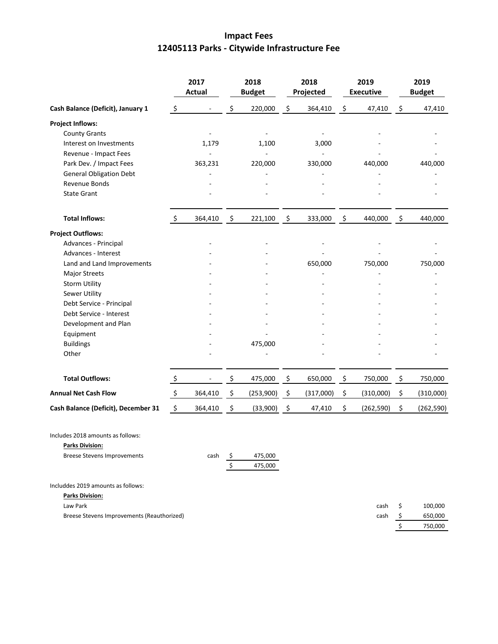# **Impact Fees 12405113 Parks - Citywide Infrastructure Fee**

|                                            |                     | 2017<br><b>Actual</b> |                    | 2018<br><b>Budget</b> |                    | 2018<br>Projected |                | 2019<br><b>Executive</b> |         | 2019<br><b>Budget</b> |
|--------------------------------------------|---------------------|-----------------------|--------------------|-----------------------|--------------------|-------------------|----------------|--------------------------|---------|-----------------------|
| Cash Balance (Deficit), January 1          | \$                  |                       | \$                 | 220,000               | \$                 | 364,410           | \$             | 47,410                   | \$      | 47,410                |
| <b>Project Inflows:</b>                    |                     |                       |                    |                       |                    |                   |                |                          |         |                       |
| <b>County Grants</b>                       |                     |                       |                    |                       |                    |                   |                |                          |         |                       |
| Interest on Investments                    |                     | 1,179                 |                    | 1,100                 |                    | 3,000             |                |                          |         |                       |
| Revenue - Impact Fees                      |                     |                       |                    |                       |                    |                   |                |                          |         |                       |
| Park Dev. / Impact Fees                    |                     | 363,231               |                    | 220,000               |                    | 330,000           |                | 440,000                  |         | 440,000               |
| <b>General Obligation Debt</b>             |                     |                       |                    |                       |                    |                   |                |                          |         |                       |
| Revenue Bonds                              |                     |                       |                    |                       |                    |                   |                |                          |         |                       |
| <b>State Grant</b>                         |                     |                       |                    |                       |                    |                   |                |                          |         |                       |
| <b>Total Inflows:</b>                      | \$                  | 364,410               | $\ddot{\varsigma}$ | 221,100               | $\ddot{\varsigma}$ | 333,000           | $\mathfrak{S}$ | 440,000                  | $\zeta$ | 440,000               |
| <b>Project Outflows:</b>                   |                     |                       |                    |                       |                    |                   |                |                          |         |                       |
| Advances - Principal                       |                     |                       |                    |                       |                    |                   |                |                          |         |                       |
| Advances - Interest                        |                     |                       |                    |                       |                    |                   |                |                          |         |                       |
| Land and Land Improvements                 |                     |                       |                    |                       |                    | 650,000           |                | 750,000                  |         | 750,000               |
| <b>Major Streets</b>                       |                     |                       |                    |                       |                    |                   |                |                          |         |                       |
| <b>Storm Utility</b>                       |                     |                       |                    |                       |                    |                   |                |                          |         |                       |
| Sewer Utility                              |                     |                       |                    |                       |                    |                   |                |                          |         |                       |
| Debt Service - Principal                   |                     |                       |                    |                       |                    |                   |                |                          |         |                       |
| Debt Service - Interest                    |                     |                       |                    |                       |                    |                   |                |                          |         |                       |
| Development and Plan                       |                     |                       |                    |                       |                    |                   |                |                          |         |                       |
| Equipment                                  |                     |                       |                    |                       |                    |                   |                |                          |         |                       |
| <b>Buildings</b>                           |                     |                       |                    | 475,000               |                    |                   |                |                          |         |                       |
| Other                                      |                     |                       |                    |                       |                    |                   |                |                          |         |                       |
| <b>Total Outflows:</b>                     | \$                  |                       | \$                 | 475,000               | \$                 | 650,000           | \$             | 750,000                  | \$      | 750,000               |
| <b>Annual Net Cash Flow</b>                | $\frac{1}{2}$       | 364,410               | - \$               | (253,900)             | \$                 | (317,000)         | \$             | (310,000)                | \$      | (310,000)             |
| Cash Balance (Deficit), December 31        | $\ddot{\mathsf{S}}$ | 364,410               | \$                 | (33,900)              | $\zeta$            | 47,410            | \$             | (262, 590)               | \$      | (262, 590)            |
| Includes 2018 amounts as follows:          |                     |                       |                    |                       |                    |                   |                |                          |         |                       |
| <b>Parks Division:</b>                     |                     |                       |                    |                       |                    |                   |                |                          |         |                       |
| <b>Breese Stevens Improvements</b>         |                     | cash                  | Ş<br>\$            | 475,000<br>475,000    |                    |                   |                |                          |         |                       |
| Includdes 2019 amounts as follows:         |                     |                       |                    |                       |                    |                   |                |                          |         |                       |
| <b>Parks Division:</b>                     |                     |                       |                    |                       |                    |                   |                |                          |         |                       |
| Law Park                                   |                     |                       |                    |                       |                    |                   |                | cash                     | \$      | 100,000               |
| Breese Stevens Improvements (Reauthorized) |                     |                       |                    |                       |                    |                   |                | cash                     | \$      | 650,000               |
|                                            |                     |                       |                    |                       |                    |                   |                |                          | \$      | 750,000               |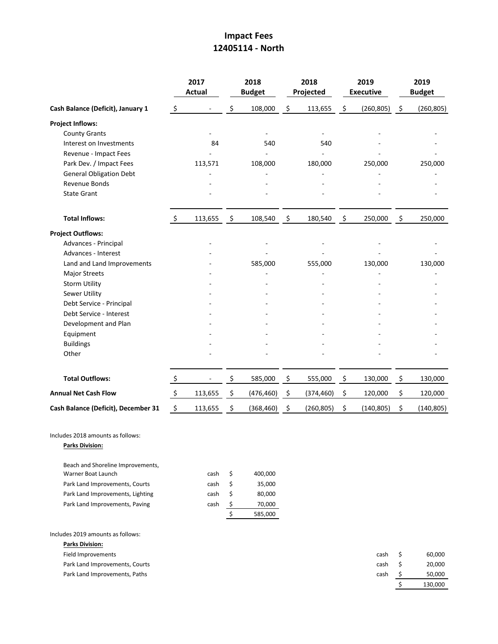## **Impact Fees 12405114 - North**

|                                                             |                | 2017<br><b>Actual</b> |                          | 2018<br><b>Budget</b> |                    | 2018<br>Projected |      | 2019<br><b>Executive</b> | 2019<br><b>Budget</b> |            |  |
|-------------------------------------------------------------|----------------|-----------------------|--------------------------|-----------------------|--------------------|-------------------|------|--------------------------|-----------------------|------------|--|
| Cash Balance (Deficit), January 1                           | $\zeta$        |                       | \$                       | 108,000               | \$                 | 113,655           | \$   | (260, 805)               | $\ddot{\varsigma}$    | (260, 805) |  |
| <b>Project Inflows:</b>                                     |                |                       |                          |                       |                    |                   |      |                          |                       |            |  |
| <b>County Grants</b>                                        |                |                       |                          |                       |                    |                   |      |                          |                       |            |  |
| Interest on Investments                                     |                | 84                    |                          | 540                   |                    | 540               |      |                          |                       |            |  |
| Revenue - Impact Fees                                       |                |                       |                          |                       |                    |                   |      |                          |                       |            |  |
| Park Dev. / Impact Fees                                     |                | 113,571               |                          | 108,000               |                    | 180,000           |      | 250,000                  |                       | 250,000    |  |
| <b>General Obligation Debt</b>                              |                |                       |                          |                       |                    |                   |      |                          |                       |            |  |
| Revenue Bonds                                               |                |                       |                          |                       |                    |                   |      |                          |                       |            |  |
| <b>State Grant</b>                                          |                |                       |                          |                       |                    |                   |      |                          |                       |            |  |
| <b>Total Inflows:</b>                                       | $\ddot{\zeta}$ | 113,655               | $\overline{\mathcal{S}}$ | 108,540               | $\ddot{\varsigma}$ | 180,540           | - \$ | 250,000                  | $\ddot{\mathsf{S}}$   | 250,000    |  |
| <b>Project Outflows:</b>                                    |                |                       |                          |                       |                    |                   |      |                          |                       |            |  |
| Advances - Principal                                        |                |                       |                          |                       |                    |                   |      |                          |                       |            |  |
| Advances - Interest                                         |                |                       |                          |                       |                    |                   |      |                          |                       |            |  |
| Land and Land Improvements                                  |                |                       |                          | 585,000               |                    | 555,000           |      | 130,000                  |                       | 130,000    |  |
| <b>Major Streets</b>                                        |                |                       |                          |                       |                    |                   |      |                          |                       |            |  |
| <b>Storm Utility</b>                                        |                |                       |                          |                       |                    |                   |      |                          |                       |            |  |
| Sewer Utility                                               |                |                       |                          |                       |                    |                   |      |                          |                       |            |  |
| Debt Service - Principal                                    |                |                       |                          |                       |                    |                   |      |                          |                       |            |  |
| Debt Service - Interest                                     |                |                       |                          |                       |                    |                   |      |                          |                       |            |  |
| Development and Plan                                        |                |                       |                          |                       |                    |                   |      |                          |                       |            |  |
| Equipment                                                   |                |                       |                          |                       |                    |                   |      |                          |                       |            |  |
| <b>Buildings</b>                                            |                |                       |                          |                       |                    |                   |      |                          |                       |            |  |
| Other                                                       |                |                       |                          |                       |                    |                   |      |                          |                       |            |  |
| <b>Total Outflows:</b>                                      | \$             |                       | \$                       | 585,000               | \$                 | 555,000           | \$   | 130,000                  | \$                    | 130,000    |  |
| <b>Annual Net Cash Flow</b>                                 | $\mathsf{S}$   | 113,655               | \$                       | (476, 460)            | \$                 | (374, 460)        | \$   | 120,000                  | \$                    | 120,000    |  |
| Cash Balance (Deficit), December 31                         | $\zeta$        | 113,655               | \$                       | (368, 460)            | $\ddot{\varsigma}$ | (260, 805)        | \$   | (140, 805)               | \$                    | (140, 805) |  |
| Includes 2018 amounts as follows:<br><b>Parks Division:</b> |                |                       |                          |                       |                    |                   |      |                          |                       |            |  |
| Beach and Shoreline Improvements,                           |                |                       |                          |                       |                    |                   |      |                          |                       |            |  |
| Warner Boat Launch                                          |                | cash                  | \$                       | 400,000               |                    |                   |      |                          |                       |            |  |
| Park Land Improvements, Courts                              |                | cash                  | \$                       | 35,000                |                    |                   |      |                          |                       |            |  |
| Park Land Improvements, Lighting                            |                | cash                  | \$                       | 80,000                |                    |                   |      |                          |                       |            |  |
| Park Land Improvements, Paving                              |                | cash                  | \$                       | 70,000                |                    |                   |      |                          |                       |            |  |
|                                                             |                |                       | \$                       | 585,000               |                    |                   |      |                          |                       |            |  |

Includes 2019 amounts as follows:

| <b>Parks Division:</b>         |      |         |
|--------------------------------|------|---------|
| Field Improvements             | cash | 60,000  |
| Park Land Improvements, Courts | cash | 20,000  |
| Park Land Improvements, Paths  | cash | 50,000  |
|                                |      | 130,000 |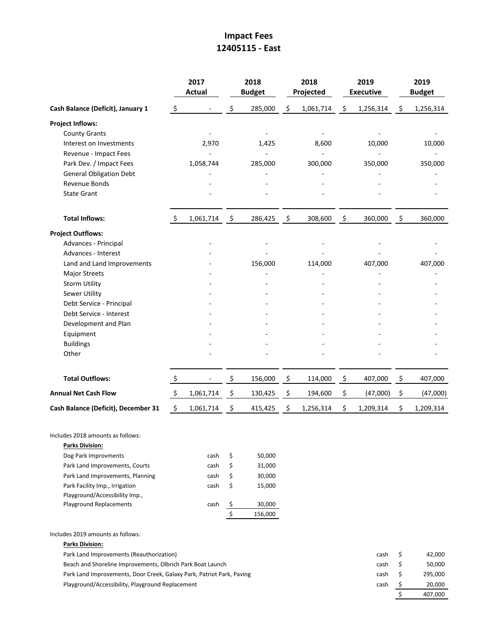## **Impact Fees 12405115 - East**

|                                                                       |                     | 2017<br><b>Actual</b> |                           | 2018<br><b>Budget</b> |                    | 2018<br>Projected |                    | 2019<br><b>Executive</b> |                    | 2019<br><b>Budget</b> |
|-----------------------------------------------------------------------|---------------------|-----------------------|---------------------------|-----------------------|--------------------|-------------------|--------------------|--------------------------|--------------------|-----------------------|
| Cash Balance (Deficit), January 1                                     | \$                  |                       | \$                        | 285,000               | \$                 | 1,061,714         | \$                 | 1,256,314                | \$                 | 1,256,314             |
| <b>Project Inflows:</b>                                               |                     |                       |                           |                       |                    |                   |                    |                          |                    |                       |
| <b>County Grants</b>                                                  |                     |                       |                           |                       |                    |                   |                    |                          |                    |                       |
| Interest on Investments                                               |                     | 2,970                 |                           | 1,425                 |                    | 8,600             |                    | 10,000                   |                    | 10,000                |
| Revenue - Impact Fees                                                 |                     |                       |                           |                       |                    |                   |                    |                          |                    |                       |
| Park Dev. / Impact Fees                                               |                     | 1,058,744             |                           | 285,000               |                    | 300,000           |                    | 350,000                  |                    | 350,000               |
| <b>General Obligation Debt</b>                                        |                     |                       |                           |                       |                    |                   |                    |                          |                    |                       |
| Revenue Bonds                                                         |                     |                       |                           |                       |                    |                   |                    |                          |                    |                       |
| <b>State Grant</b>                                                    |                     |                       |                           |                       |                    |                   |                    |                          |                    |                       |
| <b>Total Inflows:</b>                                                 | -S                  | 1,061,714             | $\ddot{\varsigma}$        | 286,425               | $\ddot{\varsigma}$ | 308,600           | $\ddot{\varsigma}$ | 360,000                  | $\ddot{\varsigma}$ | 360,000               |
| <b>Project Outflows:</b>                                              |                     |                       |                           |                       |                    |                   |                    |                          |                    |                       |
| Advances - Principal                                                  |                     |                       |                           |                       |                    |                   |                    |                          |                    |                       |
| Advances - Interest                                                   |                     |                       |                           |                       |                    |                   |                    |                          |                    |                       |
| Land and Land Improvements                                            |                     |                       |                           | 156,000               |                    | 114,000           |                    | 407,000                  |                    | 407,000               |
| <b>Major Streets</b>                                                  |                     |                       |                           |                       |                    |                   |                    |                          |                    |                       |
| <b>Storm Utility</b>                                                  |                     |                       |                           |                       |                    |                   |                    |                          |                    |                       |
| Sewer Utility                                                         |                     |                       |                           |                       |                    |                   |                    |                          |                    |                       |
| Debt Service - Principal                                              |                     |                       |                           |                       |                    |                   |                    |                          |                    |                       |
| Debt Service - Interest                                               |                     |                       |                           |                       |                    |                   |                    |                          |                    |                       |
| Development and Plan                                                  |                     |                       |                           |                       |                    |                   |                    |                          |                    |                       |
| Equipment                                                             |                     |                       |                           |                       |                    |                   |                    |                          |                    |                       |
| <b>Buildings</b>                                                      |                     |                       |                           |                       |                    |                   |                    |                          |                    |                       |
| Other                                                                 |                     |                       |                           |                       |                    |                   |                    |                          |                    |                       |
| <b>Total Outflows:</b>                                                | \$                  |                       | \$                        | 156,000               | \$                 | 114,000           | \$                 | 407,000                  | \$                 | 407,000               |
| <b>Annual Net Cash Flow</b>                                           | $\ddot{\mathsf{S}}$ | 1,061,714             | $\ddot{\varsigma}$        | 130,425               | \$                 | 194,600           | \$                 | (47,000)                 | \$                 | (47,000)              |
| Cash Balance (Deficit), December 31                                   | \$                  | 1,061,714             | \$                        | 415,425               | \$                 | 1,256,314         | \$                 | 1,209,314                | \$                 | 1,209,314             |
| Includes 2018 amounts as follows:                                     |                     |                       |                           |                       |                    |                   |                    |                          |                    |                       |
| <b>Parks Division:</b>                                                |                     |                       |                           |                       |                    |                   |                    |                          |                    |                       |
| Dog Park Improvments                                                  |                     | cash                  | \$                        | 50,000                |                    |                   |                    |                          |                    |                       |
| Park Land Improvements, Courts                                        |                     | cash                  | \$                        | 31,000                |                    |                   |                    |                          |                    |                       |
| Park Land Improvements, Planning                                      |                     | cash                  | \$                        | 30,000                |                    |                   |                    |                          |                    |                       |
| Park Facility Imp., Irrigation                                        |                     | cash                  | \$                        | 15,000                |                    |                   |                    |                          |                    |                       |
| Playground/Accessibility Imp.,                                        |                     |                       |                           |                       |                    |                   |                    |                          |                    |                       |
| <b>Playground Replacements</b>                                        |                     | cash                  | $\mathsf{\$}$             | 30,000                |                    |                   |                    |                          |                    |                       |
|                                                                       |                     |                       | $\boldsymbol{\mathsf{S}}$ | 156,000               |                    |                   |                    |                          |                    |                       |
| Includes 2019 amounts as follows:                                     |                     |                       |                           |                       |                    |                   |                    |                          |                    |                       |
| <b>Parks Division:</b>                                                |                     |                       |                           |                       |                    |                   |                    |                          |                    |                       |
| Park Land Improvements (Reauthorization)                              |                     |                       |                           |                       |                    |                   |                    | cash                     | \$                 | 42,000                |
| Beach and Shoreline Improvements, Olbrich Park Boat Launch            |                     |                       |                           |                       |                    |                   |                    | cash                     | \$                 | 50,000                |
| Park Land Improvements, Door Creek, Galaxy Park, Patriot Park, Paving |                     |                       |                           |                       |                    |                   |                    | cash                     | \$                 | 295,000               |

Playground/Accessibility, Playground Replacement cash \$ 20,000

 $\frac{1}{5}$  407,000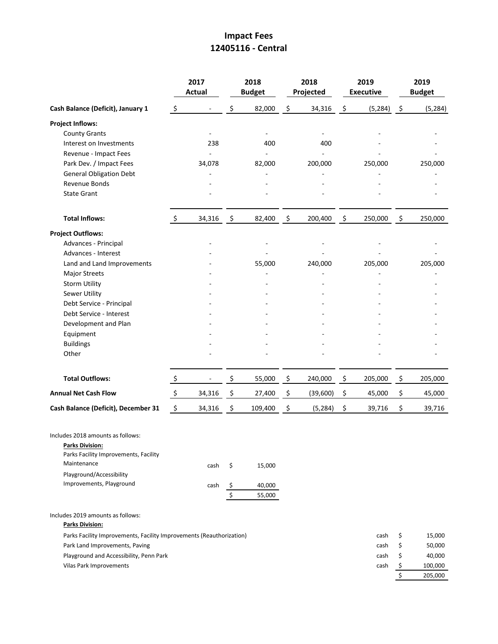## **Impact Fees 12405116 - Central**

|                                                                                                                                                 |                           | 2017<br><b>Actual</b> |                          | 2018<br><b>Budget</b> | 2018<br>Projected |      | 2019<br><b>Executive</b> |                     | 2019<br><b>Budget</b> |
|-------------------------------------------------------------------------------------------------------------------------------------------------|---------------------------|-----------------------|--------------------------|-----------------------|-------------------|------|--------------------------|---------------------|-----------------------|
| Cash Balance (Deficit), January 1                                                                                                               | $\zeta$                   |                       | \$                       | 82,000                | \$<br>34,316      | \$   | (5, 284)                 | $\ddot{\mathsf{S}}$ | (5, 284)              |
| <b>Project Inflows:</b>                                                                                                                         |                           |                       |                          |                       |                   |      |                          |                     |                       |
| <b>County Grants</b>                                                                                                                            |                           |                       |                          |                       |                   |      |                          |                     |                       |
| Interest on Investments                                                                                                                         |                           | 238                   |                          | 400                   | 400               |      |                          |                     |                       |
| Revenue - Impact Fees                                                                                                                           |                           |                       |                          |                       |                   |      |                          |                     |                       |
| Park Dev. / Impact Fees                                                                                                                         |                           | 34,078                |                          | 82,000                | 200,000           |      | 250,000                  |                     | 250,000               |
| <b>General Obligation Debt</b>                                                                                                                  |                           |                       |                          |                       |                   |      |                          |                     |                       |
| Revenue Bonds                                                                                                                                   |                           |                       |                          |                       |                   |      |                          |                     |                       |
| <b>State Grant</b>                                                                                                                              |                           |                       |                          |                       |                   |      |                          |                     |                       |
| <b>Total Inflows:</b>                                                                                                                           | \$                        | 34,316                | $\overline{\mathcal{S}}$ | 82,400                | \$<br>200,400     | - \$ | 250,000                  | $\ddot{\varsigma}$  | 250,000               |
| <b>Project Outflows:</b>                                                                                                                        |                           |                       |                          |                       |                   |      |                          |                     |                       |
| Advances - Principal                                                                                                                            |                           |                       |                          |                       |                   |      |                          |                     |                       |
| Advances - Interest                                                                                                                             |                           |                       |                          |                       |                   |      |                          |                     |                       |
| Land and Land Improvements                                                                                                                      |                           |                       |                          | 55,000                | 240,000           |      | 205,000                  |                     | 205,000               |
| <b>Major Streets</b>                                                                                                                            |                           |                       |                          |                       |                   |      |                          |                     |                       |
| <b>Storm Utility</b>                                                                                                                            |                           |                       |                          |                       |                   |      |                          |                     |                       |
| <b>Sewer Utility</b>                                                                                                                            |                           |                       |                          |                       |                   |      |                          |                     |                       |
| Debt Service - Principal                                                                                                                        |                           |                       |                          |                       |                   |      |                          |                     |                       |
| Debt Service - Interest                                                                                                                         |                           |                       |                          |                       |                   |      |                          |                     |                       |
| Development and Plan                                                                                                                            |                           |                       |                          |                       |                   |      |                          |                     |                       |
| Equipment                                                                                                                                       |                           |                       |                          |                       |                   |      |                          |                     |                       |
| <b>Buildings</b>                                                                                                                                |                           |                       |                          |                       |                   |      |                          |                     |                       |
| Other                                                                                                                                           |                           |                       |                          |                       |                   |      |                          |                     |                       |
| <b>Total Outflows:</b>                                                                                                                          | $\mathsf{S}$              |                       | \$                       | 55,000                | \$<br>240,000     | \$   | 205,000                  | \$                  | 205,000               |
| <b>Annual Net Cash Flow</b>                                                                                                                     | $\frac{1}{2}$             | 34,316                | $\frac{5}{1}$            | 27,400                | \$<br>(39,600)    | \$   | 45,000                   | \$                  | 45,000                |
| Cash Balance (Deficit), December 31                                                                                                             | $\boldsymbol{\mathsf{S}}$ | 34,316                | $\ddot{\varsigma}$       | 109,400               | \$<br>(5, 284)    | \$   | 39,716                   | \$                  | 39,716                |
| Includes 2018 amounts as follows:<br><b>Parks Division:</b><br>Parks Facility Improvements, Facility<br>Maintenance<br>Playground/Accessibility |                           | cash                  | \$                       | 15,000                |                   |      |                          |                     |                       |
| Improvements, Playground                                                                                                                        |                           | cash                  | Ş                        | 40,000                |                   |      |                          |                     |                       |
|                                                                                                                                                 |                           |                       | \$                       | 55,000                |                   |      |                          |                     |                       |
| Includes 2019 amounts as follows:<br><b>Parks Division:</b>                                                                                     |                           |                       |                          |                       |                   |      |                          |                     |                       |
| Parks Facility Improvements, Facility Improvements (Reauthorization)                                                                            |                           |                       |                          |                       |                   |      | cash                     | \$                  | 15,000                |
| Park Land Improvements, Paving                                                                                                                  |                           |                       |                          |                       |                   |      | cash                     | \$                  | 50,000                |
| Playground and Accessibility, Penn Park                                                                                                         |                           |                       |                          |                       |                   |      | cash                     | \$                  | 40,000                |
| Vilas Park Improvements                                                                                                                         |                           |                       |                          |                       |                   |      | cash                     | \$                  | 100,000               |
|                                                                                                                                                 |                           |                       |                          |                       |                   |      |                          | \$                  | 205,000               |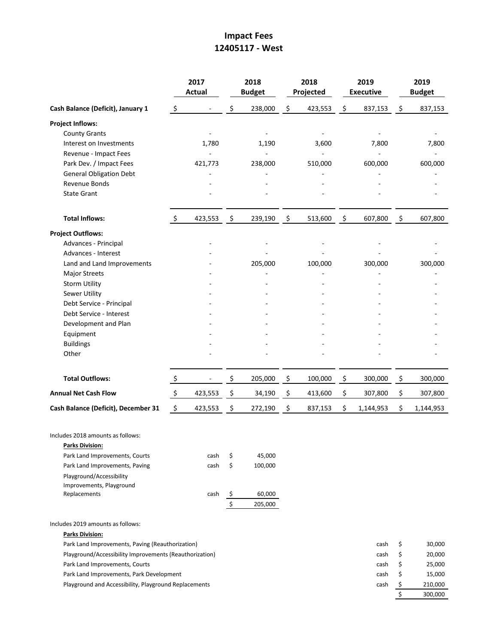## **Impact Fees 12405117 - West**

|                                                             |                     | 2017<br><b>Actual</b> |                          | 2018<br><b>Budget</b> |    | 2018<br>Projected |                    | 2019<br><b>Executive</b> | 2019<br><b>Budget</b> |           |  |
|-------------------------------------------------------------|---------------------|-----------------------|--------------------------|-----------------------|----|-------------------|--------------------|--------------------------|-----------------------|-----------|--|
| Cash Balance (Deficit), January 1                           | \$                  |                       | \$                       | 238,000               | \$ | 423,553           | \$                 | 837,153                  | \$                    | 837,153   |  |
| <b>Project Inflows:</b>                                     |                     |                       |                          |                       |    |                   |                    |                          |                       |           |  |
| <b>County Grants</b>                                        |                     |                       |                          |                       |    |                   |                    |                          |                       |           |  |
| Interest on Investments                                     |                     | 1,780                 |                          | 1,190                 |    | 3,600             |                    | 7,800                    |                       | 7,800     |  |
| Revenue - Impact Fees                                       |                     |                       |                          |                       |    |                   |                    |                          |                       |           |  |
| Park Dev. / Impact Fees                                     |                     | 421,773               |                          | 238,000               |    | 510,000           |                    | 600,000                  |                       | 600,000   |  |
| <b>General Obligation Debt</b>                              |                     |                       |                          |                       |    |                   |                    |                          |                       |           |  |
| Revenue Bonds                                               |                     |                       |                          |                       |    |                   |                    |                          |                       |           |  |
| <b>State Grant</b>                                          |                     |                       |                          |                       |    |                   |                    |                          |                       |           |  |
| <b>Total Inflows:</b>                                       | $\ddot{\varsigma}$  | 423,553               | $\ddot{\varsigma}$       | 239,190               | \$ | 513,600           | $\ddot{\varsigma}$ | 607,800                  | $\ddot{\varsigma}$    | 607,800   |  |
| <b>Project Outflows:</b>                                    |                     |                       |                          |                       |    |                   |                    |                          |                       |           |  |
| Advances - Principal                                        |                     |                       |                          |                       |    |                   |                    |                          |                       |           |  |
| Advances - Interest                                         |                     |                       |                          |                       |    |                   |                    |                          |                       |           |  |
| Land and Land Improvements                                  |                     |                       |                          | 205,000               |    | 100,000           |                    | 300,000                  |                       | 300,000   |  |
| <b>Major Streets</b>                                        |                     |                       |                          |                       |    |                   |                    |                          |                       |           |  |
| <b>Storm Utility</b>                                        |                     |                       |                          |                       |    |                   |                    |                          |                       |           |  |
| <b>Sewer Utility</b>                                        |                     |                       |                          |                       |    |                   |                    |                          |                       |           |  |
| Debt Service - Principal                                    |                     |                       |                          |                       |    |                   |                    |                          |                       |           |  |
| Debt Service - Interest                                     |                     |                       |                          |                       |    |                   |                    |                          |                       |           |  |
| Development and Plan                                        |                     |                       |                          |                       |    |                   |                    |                          |                       |           |  |
| Equipment                                                   |                     |                       |                          |                       |    |                   |                    |                          |                       |           |  |
| <b>Buildings</b>                                            |                     |                       |                          |                       |    |                   |                    |                          |                       |           |  |
| Other                                                       |                     |                       |                          |                       |    |                   |                    |                          |                       |           |  |
| <b>Total Outflows:</b>                                      | $\mathsf{S}$        |                       | \$                       | 205,000               | \$ | 100,000           | \$                 | 300,000                  | \$                    | 300,000   |  |
| <b>Annual Net Cash Flow</b>                                 | $\ddot{\mathsf{S}}$ | 423,553               | $\overline{\mathcal{S}}$ | 34,190                | \$ | 413,600           | \$                 | 307,800                  | \$                    | 307,800   |  |
| Cash Balance (Deficit), December 31                         | $\ddot{\phi}$       | 423,553               | \$                       | 272,190               | \$ | 837,153           | \$                 | 1,144,953                | \$                    | 1,144,953 |  |
| Includes 2018 amounts as follows:<br><b>Parks Division:</b> |                     |                       |                          |                       |    |                   |                    |                          |                       |           |  |
| Park Land Improvements, Courts                              |                     | cash                  | \$                       | 45,000                |    |                   |                    |                          |                       |           |  |
| Park Land Improvements, Paving                              |                     | cash                  | \$                       | 100,000               |    |                   |                    |                          |                       |           |  |
| Playground/Accessibility<br>Improvements, Playground        |                     |                       |                          |                       |    |                   |                    |                          |                       |           |  |
| Replacements                                                |                     | cash                  | $\frac{1}{2}$            | 60,000                |    |                   |                    |                          |                       |           |  |
|                                                             |                     |                       | $\overline{\xi}$         | 205,000               |    |                   |                    |                          |                       |           |  |
| Includes 2019 amounts as follows:                           |                     |                       |                          |                       |    |                   |                    |                          |                       |           |  |
| <b>Parks Division:</b>                                      |                     |                       |                          |                       |    |                   |                    |                          |                       |           |  |
| Park Land Improvements, Paving (Reauthorization)            |                     |                       |                          |                       |    |                   |                    | cash                     | \$                    | 30,000    |  |
| Playground/Accessibility Improvements (Reauthorization)     |                     |                       |                          |                       |    |                   |                    | cash                     | \$                    | 20,000    |  |
| Park Land Improvements, Courts                              |                     |                       |                          |                       |    |                   |                    | cash                     | \$                    | 25,000    |  |
| Park Land Improvements, Park Development                    |                     |                       |                          |                       |    |                   |                    | cash                     | \$                    | 15,000    |  |
| Playground and Accessibility, Playground Replacements       |                     |                       |                          |                       |    |                   |                    | cash                     | \$                    | 210,000   |  |

\$ 300,000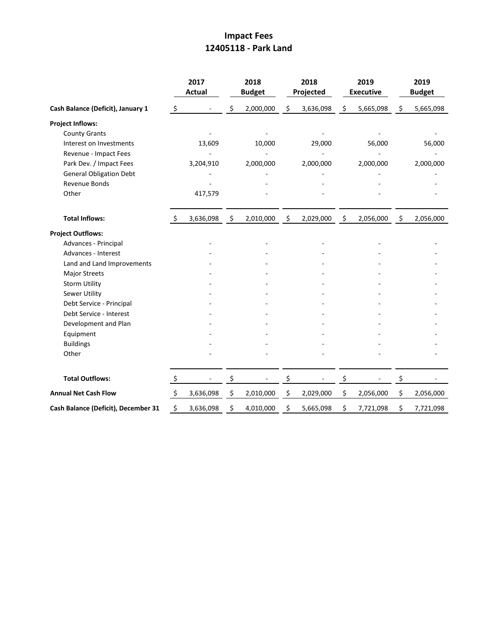## **Impact Fees 12405118 - Park Land**

|                                     |         | 2017<br><b>Actual</b> | 2018<br><b>Budget</b> | 2018<br>Projected | 2019<br><b>Executive</b> | 2019<br><b>Budget</b> |
|-------------------------------------|---------|-----------------------|-----------------------|-------------------|--------------------------|-----------------------|
| Cash Balance (Deficit), January 1   | $\zeta$ |                       | \$<br>2,000,000       | \$<br>3,636,098   | \$<br>5,665,098          | \$<br>5,665,098       |
| <b>Project Inflows:</b>             |         |                       |                       |                   |                          |                       |
| <b>County Grants</b>                |         |                       |                       |                   |                          |                       |
| Interest on Investments             |         | 13,609                | 10,000                | 29,000            | 56,000                   | 56,000                |
| Revenue - Impact Fees               |         |                       |                       |                   |                          |                       |
| Park Dev. / Impact Fees             |         | 3,204,910             | 2,000,000             | 2,000,000         | 2,000,000                | 2,000,000             |
| <b>General Obligation Debt</b>      |         |                       |                       |                   |                          |                       |
| Revenue Bonds                       |         |                       |                       |                   |                          |                       |
| Other                               |         | 417,579               |                       |                   |                          |                       |
| <b>Total Inflows:</b>               | S.      | 3,636,098             | \$<br>2,010,000       | \$<br>2,029,000   | \$<br>2,056,000          | \$<br>2,056,000       |
| <b>Project Outflows:</b>            |         |                       |                       |                   |                          |                       |
| Advances - Principal                |         |                       |                       |                   |                          |                       |
| Advances - Interest                 |         |                       |                       |                   |                          |                       |
| Land and Land Improvements          |         |                       |                       |                   |                          |                       |
| <b>Major Streets</b>                |         |                       |                       |                   |                          |                       |
| <b>Storm Utility</b>                |         |                       |                       |                   |                          |                       |
| <b>Sewer Utility</b>                |         |                       |                       |                   |                          |                       |
| Debt Service - Principal            |         |                       |                       |                   |                          |                       |
| Debt Service - Interest             |         |                       |                       |                   |                          |                       |
| Development and Plan                |         |                       |                       |                   |                          |                       |
| Equipment                           |         |                       |                       |                   |                          |                       |
| <b>Buildings</b>                    |         |                       |                       |                   |                          |                       |
| Other                               |         |                       |                       |                   |                          |                       |
| <b>Total Outflows:</b>              | $\zeta$ |                       | \$                    | \$                | \$                       | \$                    |
| <b>Annual Net Cash Flow</b>         | $\zeta$ | 3,636,098             | \$<br>2,010,000       | \$<br>2,029,000   | \$<br>2,056,000          | \$<br>2,056,000       |
| Cash Balance (Deficit), December 31 | \$      | 3,636,098             | \$<br>4,010,000       | \$<br>5,665,098   | \$<br>7,721,098          | \$<br>7,721,098       |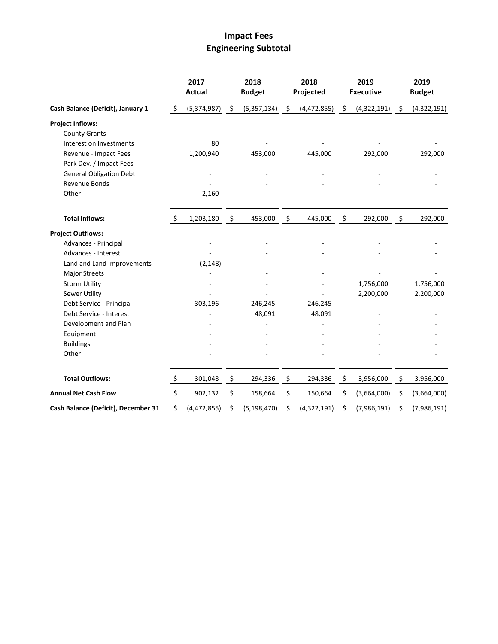# **Impact Fees Engineering Subtotal**

|                                     |                    | 2017<br><b>Actual</b> |                     | 2018<br><b>Budget</b> | 2018<br>Projected |      | 2019<br><b>Executive</b> |                | 2019<br><b>Budget</b> |
|-------------------------------------|--------------------|-----------------------|---------------------|-----------------------|-------------------|------|--------------------------|----------------|-----------------------|
| Cash Balance (Deficit), January 1   | \$                 | (5,374,987)           | -\$                 | (5,357,134)           | \$<br>(4,472,855) | - \$ | (4,322,191)              | $\ddot{\zeta}$ | (4,322,191)           |
| <b>Project Inflows:</b>             |                    |                       |                     |                       |                   |      |                          |                |                       |
| <b>County Grants</b>                |                    |                       |                     |                       |                   |      |                          |                |                       |
| Interest on Investments             |                    | 80                    |                     |                       |                   |      |                          |                |                       |
| Revenue - Impact Fees               |                    | 1,200,940             |                     | 453,000               | 445,000           |      | 292,000                  |                | 292,000               |
| Park Dev. / Impact Fees             |                    |                       |                     |                       |                   |      |                          |                |                       |
| <b>General Obligation Debt</b>      |                    |                       |                     |                       |                   |      |                          |                |                       |
| Revenue Bonds                       |                    |                       |                     |                       |                   |      |                          |                |                       |
| Other                               |                    | 2,160                 |                     |                       |                   |      |                          |                |                       |
| <b>Total Inflows:</b>               | S.                 | 1,203,180             | $\ddot{\mathsf{S}}$ | 453,000               | \$<br>445,000     | \$   | 292,000                  | \$             | 292,000               |
| <b>Project Outflows:</b>            |                    |                       |                     |                       |                   |      |                          |                |                       |
| Advances - Principal                |                    |                       |                     |                       |                   |      |                          |                |                       |
| Advances - Interest                 |                    |                       |                     |                       |                   |      |                          |                |                       |
| Land and Land Improvements          |                    | (2, 148)              |                     |                       |                   |      |                          |                |                       |
| <b>Major Streets</b>                |                    |                       |                     |                       |                   |      |                          |                |                       |
| <b>Storm Utility</b>                |                    |                       |                     |                       |                   |      | 1,756,000                |                | 1,756,000             |
| Sewer Utility                       |                    |                       |                     |                       |                   |      | 2,200,000                |                | 2,200,000             |
| Debt Service - Principal            |                    | 303,196               |                     | 246,245               | 246,245           |      |                          |                |                       |
| Debt Service - Interest             |                    |                       |                     | 48,091                | 48,091            |      |                          |                |                       |
| Development and Plan                |                    |                       |                     |                       |                   |      |                          |                |                       |
| Equipment                           |                    |                       |                     |                       |                   |      |                          |                |                       |
| <b>Buildings</b>                    |                    |                       |                     |                       |                   |      |                          |                |                       |
| Other                               |                    |                       |                     |                       |                   |      |                          |                |                       |
| <b>Total Outflows:</b>              | $\ddot{\varsigma}$ | 301,048               | $\mathfrak{S}$      | 294,336               | \$<br>294,336     | \$   | 3,956,000                | \$             | 3,956,000             |
| <b>Annual Net Cash Flow</b>         | $\zeta$            | 902,132               | \$                  | 158,664               | \$<br>150,664     | \$   | (3,664,000)              | \$             | (3,664,000)           |
| Cash Balance (Deficit), December 31 | \$                 | (4,472,855)           | \$                  | (5, 198, 470)         | \$<br>(4,322,191) | \$   | (7,986,191)              | \$             | (7,986,191)           |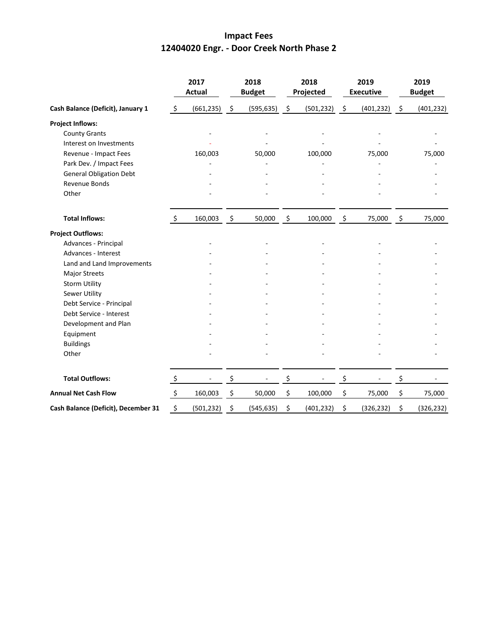## **Impact Fees 12404020 Engr. - Door Creek North Phase 2**

|                                     | 2017<br><b>Actual</b> |                 | 2018<br><b>Budget</b> |            | 2018<br>Projected   |                 | 2019<br><b>Executive</b> |            | 2019<br><b>Budget</b> |            |
|-------------------------------------|-----------------------|-----------------|-----------------------|------------|---------------------|-----------------|--------------------------|------------|-----------------------|------------|
| Cash Balance (Deficit), January 1   | $\ddot{\zeta}$        | $(661, 235)$ \$ |                       | (595, 635) | $\ddot{\mathsf{s}}$ | $(501, 232)$ \$ |                          | (401, 232) | $\ddot{\mathsf{s}}$   | (401, 232) |
| <b>Project Inflows:</b>             |                       |                 |                       |            |                     |                 |                          |            |                       |            |
| <b>County Grants</b>                |                       |                 |                       |            |                     |                 |                          |            |                       |            |
| Interest on Investments             |                       |                 |                       |            |                     |                 |                          |            |                       |            |
| Revenue - Impact Fees               |                       | 160,003         |                       | 50,000     |                     | 100,000         |                          | 75,000     |                       | 75,000     |
| Park Dev. / Impact Fees             |                       |                 |                       |            |                     |                 |                          |            |                       |            |
| <b>General Obligation Debt</b>      |                       |                 |                       |            |                     |                 |                          |            |                       |            |
| <b>Revenue Bonds</b>                |                       |                 |                       |            |                     |                 |                          |            |                       |            |
| Other                               |                       |                 |                       |            |                     |                 |                          |            |                       |            |
| <b>Total Inflows:</b>               | $\zeta$               | 160,003         | - \$                  | 50,000     | \$                  | 100,000         | \$                       | 75,000     | \$                    | 75,000     |
| <b>Project Outflows:</b>            |                       |                 |                       |            |                     |                 |                          |            |                       |            |
| Advances - Principal                |                       |                 |                       |            |                     |                 |                          |            |                       |            |
| Advances - Interest                 |                       |                 |                       |            |                     |                 |                          |            |                       |            |
| Land and Land Improvements          |                       |                 |                       |            |                     |                 |                          |            |                       |            |
| <b>Major Streets</b>                |                       |                 |                       |            |                     |                 |                          |            |                       |            |
| <b>Storm Utility</b>                |                       |                 |                       |            |                     |                 |                          |            |                       |            |
| <b>Sewer Utility</b>                |                       |                 |                       |            |                     |                 |                          |            |                       |            |
| Debt Service - Principal            |                       |                 |                       |            |                     |                 |                          |            |                       |            |
| Debt Service - Interest             |                       |                 |                       |            |                     |                 |                          |            |                       |            |
| Development and Plan                |                       |                 |                       |            |                     |                 |                          |            |                       |            |
| Equipment                           |                       |                 |                       |            |                     |                 |                          |            |                       |            |
| <b>Buildings</b>                    |                       |                 |                       |            |                     |                 |                          |            |                       |            |
| Other                               |                       |                 |                       |            |                     |                 |                          |            |                       |            |
| <b>Total Outflows:</b>              | $\zeta$               |                 | \$                    |            | \$                  |                 | \$                       |            | \$                    |            |
| <b>Annual Net Cash Flow</b>         | $\ddot{\phi}$         | 160,003         | \$                    | 50,000     | \$                  | 100,000         | \$                       | 75,000     | \$                    | 75,000     |
| Cash Balance (Deficit), December 31 | \$                    | (501, 232)      | \$                    | (545, 635) | \$                  | (401, 232)      | \$                       | (326, 232) | \$                    | (326, 232) |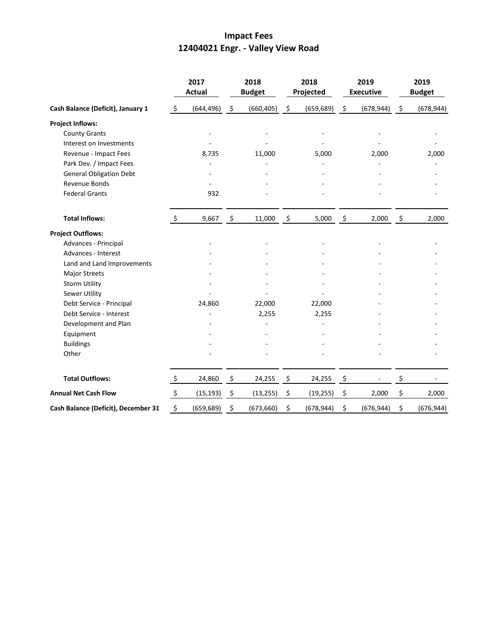# **Impact Fees 12404021 Engr. - Valley View Road**

|                                     |                    | 2017<br><b>Actual</b> |                     | 2018<br><b>Budget</b> |                    | 2018<br>Projected |                     | 2019<br><b>Executive</b> |      | 2019<br><b>Budget</b> |
|-------------------------------------|--------------------|-----------------------|---------------------|-----------------------|--------------------|-------------------|---------------------|--------------------------|------|-----------------------|
| Cash Balance (Deficit), January 1   | $\ddot{\varsigma}$ | (644, 496)            | $\ddot{\zeta}$      | (660, 405)            | $\ddot{\varsigma}$ | (659, 689)        | $\ddot{\mathsf{S}}$ | (678, 944)               | -\$  | (678, 944)            |
| <b>Project Inflows:</b>             |                    |                       |                     |                       |                    |                   |                     |                          |      |                       |
| <b>County Grants</b>                |                    |                       |                     | $\overline{a}$        |                    |                   |                     |                          |      |                       |
| Interest on Investments             |                    |                       |                     |                       |                    |                   |                     |                          |      |                       |
| Revenue - Impact Fees               |                    | 8,735                 |                     | 11,000                |                    | 5,000             |                     | 2,000                    |      | 2,000                 |
| Park Dev. / Impact Fees             |                    |                       |                     |                       |                    |                   |                     |                          |      |                       |
| <b>General Obligation Debt</b>      |                    |                       |                     |                       |                    |                   |                     |                          |      |                       |
| Revenue Bonds                       |                    |                       |                     |                       |                    |                   |                     |                          |      |                       |
| <b>Federal Grants</b>               |                    | 932                   |                     |                       |                    |                   |                     |                          |      |                       |
| <b>Total Inflows:</b>               | \$                 | $9,667$ \$            |                     | 11,000                | \$                 | 5,000             | \$                  | 2,000                    | - \$ | 2,000                 |
| <b>Project Outflows:</b>            |                    |                       |                     |                       |                    |                   |                     |                          |      |                       |
| Advances - Principal                |                    |                       |                     |                       |                    |                   |                     |                          |      |                       |
| Advances - Interest                 |                    |                       |                     |                       |                    |                   |                     |                          |      |                       |
| Land and Land Improvements          |                    |                       |                     |                       |                    |                   |                     |                          |      |                       |
| <b>Major Streets</b>                |                    |                       |                     |                       |                    |                   |                     |                          |      |                       |
| <b>Storm Utility</b>                |                    |                       |                     |                       |                    |                   |                     |                          |      |                       |
| Sewer Utility                       |                    |                       |                     |                       |                    |                   |                     |                          |      |                       |
| Debt Service - Principal            |                    | 24,860                |                     | 22,000                |                    | 22,000            |                     |                          |      |                       |
| Debt Service - Interest             |                    |                       |                     | 2,255                 |                    | 2,255             |                     |                          |      |                       |
| Development and Plan                |                    |                       |                     |                       |                    |                   |                     |                          |      |                       |
| Equipment                           |                    |                       |                     |                       |                    |                   |                     |                          |      |                       |
| <b>Buildings</b>                    |                    |                       |                     |                       |                    |                   |                     |                          |      |                       |
| Other                               |                    |                       |                     |                       |                    |                   |                     |                          |      |                       |
| <b>Total Outflows:</b>              | $\zeta$            | 24,860                | $\ddot{\mathsf{S}}$ | 24,255                | \$                 | 24,255            | $\ddot{\mathsf{S}}$ |                          | \$   |                       |
| <b>Annual Net Cash Flow</b>         | $\ddot{\varsigma}$ | (15, 193)             | \$                  | (13, 255)             | \$                 | (19, 255)         | \$                  | 2,000                    | \$   | 2,000                 |
| Cash Balance (Deficit), December 31 | \$                 | (659, 689)            | \$                  | (673, 660)            | \$                 | (678, 944)        | \$                  | (676, 944)               | \$   | (676, 944)            |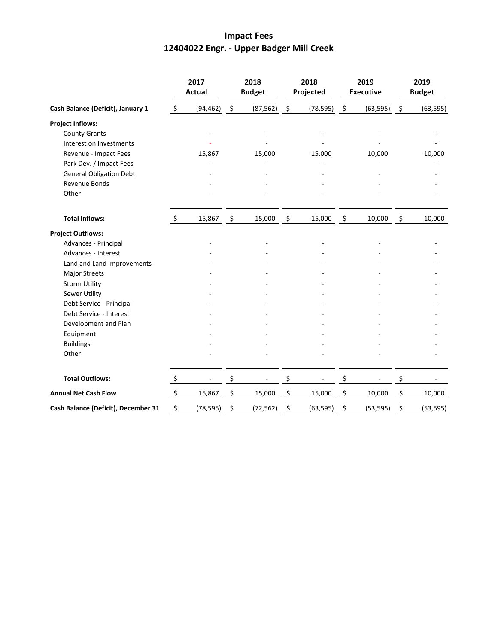# **Impact Fees 12404022 Engr. - Upper Badger Mill Creek**

|                                     | 2017<br><b>Actual</b> |           | 2018<br><b>Budget</b> |           | 2018<br>Projected   |           | 2019<br><b>Executive</b> |           | 2019<br><b>Budget</b> |           |
|-------------------------------------|-----------------------|-----------|-----------------------|-----------|---------------------|-----------|--------------------------|-----------|-----------------------|-----------|
| Cash Balance (Deficit), January 1   | \$                    | (94, 462) | \$                    | (87, 562) | $\ddot{\mathsf{S}}$ | (78, 595) | $\ddot{\phi}$            | (63, 595) | $\ddot{\zeta}$        | (63, 595) |
| <b>Project Inflows:</b>             |                       |           |                       |           |                     |           |                          |           |                       |           |
| <b>County Grants</b>                |                       |           |                       | ÷,        |                     |           |                          |           |                       |           |
| Interest on Investments             |                       |           |                       |           |                     |           |                          |           |                       |           |
| Revenue - Impact Fees               |                       | 15,867    |                       | 15,000    |                     | 15,000    |                          | 10,000    |                       | 10,000    |
| Park Dev. / Impact Fees             |                       |           |                       |           |                     |           |                          |           |                       |           |
| <b>General Obligation Debt</b>      |                       |           |                       |           |                     |           |                          |           |                       |           |
| Revenue Bonds                       |                       |           |                       |           |                     |           |                          |           |                       |           |
| Other                               |                       |           |                       |           |                     |           |                          |           |                       |           |
| <b>Total Inflows:</b>               | $\ddot{\mathsf{S}}$   | 15,867    | $\zeta$               | 15,000    | \$                  | 15,000    | \$                       | 10,000    | \$                    | 10,000    |
| <b>Project Outflows:</b>            |                       |           |                       |           |                     |           |                          |           |                       |           |
| Advances - Principal                |                       |           |                       |           |                     |           |                          |           |                       |           |
| Advances - Interest                 |                       |           |                       |           |                     |           |                          |           |                       |           |
| Land and Land Improvements          |                       |           |                       |           |                     |           |                          |           |                       |           |
| Major Streets                       |                       |           |                       |           |                     |           |                          |           |                       |           |
| <b>Storm Utility</b>                |                       |           |                       |           |                     |           |                          |           |                       |           |
| Sewer Utility                       |                       |           |                       |           |                     |           |                          |           |                       |           |
| Debt Service - Principal            |                       |           |                       |           |                     |           |                          |           |                       |           |
| Debt Service - Interest             |                       |           |                       |           |                     |           |                          |           |                       |           |
| Development and Plan                |                       |           |                       |           |                     |           |                          |           |                       |           |
| Equipment                           |                       |           |                       |           |                     |           |                          |           |                       |           |
| <b>Buildings</b>                    |                       |           |                       |           |                     |           |                          |           |                       |           |
| Other                               |                       |           |                       |           |                     |           |                          |           |                       |           |
| <b>Total Outflows:</b>              | $\zeta$               |           | \$                    |           | \$                  |           | \$                       |           | \$                    |           |
| <b>Annual Net Cash Flow</b>         | $\ddot{\phi}$         | 15,867    | \$                    | 15,000    | \$                  | 15,000    | \$                       | 10,000    | \$                    | 10,000    |
| Cash Balance (Deficit), December 31 | \$                    | (78, 595) | \$                    | (72, 562) | \$                  | (63, 595) | \$                       | (53, 595) | \$                    | (53, 595) |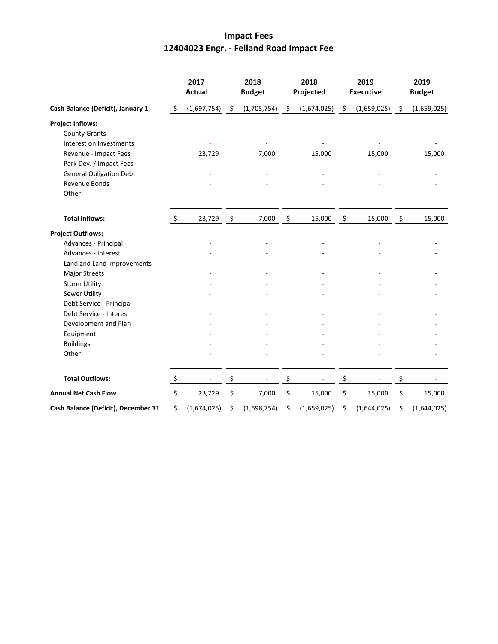# **Impact Fees 12404023 Engr. - Felland Road Impact Fee**

|                                     |         | 2017<br><b>Actual</b> |                | 2018<br><b>Budget</b> |      | 2018<br>Projected |      | 2019<br><b>Executive</b> |      | 2019<br><b>Budget</b> |  |
|-------------------------------------|---------|-----------------------|----------------|-----------------------|------|-------------------|------|--------------------------|------|-----------------------|--|
| Cash Balance (Deficit), January 1   | -\$     | (1,697,754)           | - \$           | (1,705,754)           | - \$ | (1,674,025)       | - \$ | (1,659,025)              | - \$ | (1,659,025)           |  |
| <b>Project Inflows:</b>             |         |                       |                |                       |      |                   |      |                          |      |                       |  |
| <b>County Grants</b>                |         |                       |                |                       |      |                   |      |                          |      |                       |  |
| Interest on Investments             |         |                       |                |                       |      |                   |      |                          |      |                       |  |
| Revenue - Impact Fees               |         | 23,729                |                | 7,000                 |      | 15,000            |      | 15,000                   |      | 15,000                |  |
| Park Dev. / Impact Fees             |         |                       |                |                       |      |                   |      |                          |      |                       |  |
| <b>General Obligation Debt</b>      |         |                       |                |                       |      |                   |      |                          |      |                       |  |
| <b>Revenue Bonds</b>                |         |                       |                |                       |      |                   |      |                          |      |                       |  |
| Other                               |         |                       |                |                       |      |                   |      |                          |      |                       |  |
| <b>Total Inflows:</b>               | \$      | 23,729                | $\ddot{\zeta}$ | 7,000                 | \$   | 15,000            | \$   | 15,000                   | \$   | 15,000                |  |
| <b>Project Outflows:</b>            |         |                       |                |                       |      |                   |      |                          |      |                       |  |
| Advances - Principal                |         |                       |                |                       |      |                   |      |                          |      |                       |  |
| Advances - Interest                 |         |                       |                |                       |      |                   |      |                          |      |                       |  |
| Land and Land Improvements          |         |                       |                |                       |      |                   |      |                          |      |                       |  |
| <b>Major Streets</b>                |         |                       |                |                       |      |                   |      |                          |      |                       |  |
| <b>Storm Utility</b>                |         |                       |                |                       |      |                   |      |                          |      |                       |  |
| Sewer Utility                       |         |                       |                |                       |      |                   |      |                          |      |                       |  |
| Debt Service - Principal            |         |                       |                |                       |      |                   |      |                          |      |                       |  |
| Debt Service - Interest             |         |                       |                |                       |      |                   |      |                          |      |                       |  |
| Development and Plan                |         |                       |                |                       |      |                   |      |                          |      |                       |  |
| Equipment                           |         |                       |                |                       |      |                   |      |                          |      |                       |  |
| <b>Buildings</b>                    |         |                       |                |                       |      |                   |      |                          |      |                       |  |
| Other                               |         |                       |                |                       |      |                   |      |                          |      |                       |  |
| <b>Total Outflows:</b>              | $\zeta$ |                       | \$             |                       | \$   |                   | \$   |                          | \$   |                       |  |
| <b>Annual Net Cash Flow</b>         | $\zeta$ | 23,729                | \$             | 7,000                 | \$   | 15,000            | \$   | 15,000                   | \$   | 15,000                |  |
| Cash Balance (Deficit), December 31 | \$      | (1,674,025)           | \$             | (1,698,754)           | \$   | (1,659,025)       | \$   | (1,644,025)              | \$   | (1,644,025)           |  |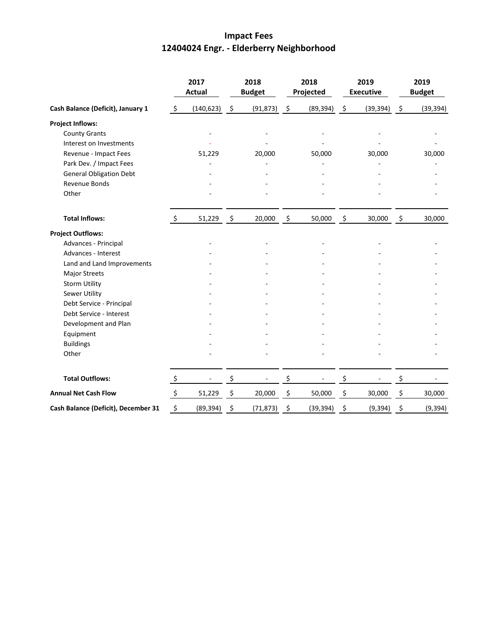# **Impact Fees 12404024 Engr. - Elderberry Neighborhood**

|                                     | 2017<br><b>Actual</b> |            | 2018<br><b>Budget</b> |           | 2018<br>Projected |           | 2019<br><b>Executive</b> |           | 2019<br><b>Budget</b> |           |
|-------------------------------------|-----------------------|------------|-----------------------|-----------|-------------------|-----------|--------------------------|-----------|-----------------------|-----------|
| Cash Balance (Deficit), January 1   | $\zeta$               | (140, 623) | $\ddot{\mathsf{S}}$   | (91, 873) | $\ddot{\zeta}$    | (89, 394) | $\ddot{\zeta}$           | (39, 394) | $\ddot{\zeta}$        | (39, 394) |
| <b>Project Inflows:</b>             |                       |            |                       |           |                   |           |                          |           |                       |           |
| <b>County Grants</b>                |                       |            |                       | ÷         |                   |           |                          |           |                       |           |
| Interest on Investments             |                       |            |                       |           |                   |           |                          |           |                       |           |
| Revenue - Impact Fees               |                       | 51,229     |                       | 20,000    |                   | 50,000    |                          | 30,000    |                       | 30,000    |
| Park Dev. / Impact Fees             |                       |            |                       |           |                   |           |                          |           |                       |           |
| <b>General Obligation Debt</b>      |                       |            |                       |           |                   |           |                          |           |                       |           |
| Revenue Bonds                       |                       |            |                       |           |                   |           |                          |           |                       |           |
| Other                               |                       |            |                       |           |                   |           |                          |           |                       |           |
| <b>Total Inflows:</b>               | $\zeta$               | 51,229     | $\ddot{\mathsf{s}}$   | 20,000    | \$                | 50,000    | $\ddot{\varsigma}$       | 30,000    | $\zeta$               | 30,000    |
| <b>Project Outflows:</b>            |                       |            |                       |           |                   |           |                          |           |                       |           |
| Advances - Principal                |                       |            |                       |           |                   |           |                          |           |                       |           |
| Advances - Interest                 |                       |            |                       |           |                   |           |                          |           |                       |           |
| Land and Land Improvements          |                       |            |                       |           |                   |           |                          |           |                       |           |
| <b>Major Streets</b>                |                       |            |                       |           |                   |           |                          |           |                       |           |
| <b>Storm Utility</b>                |                       |            |                       |           |                   |           |                          |           |                       |           |
| <b>Sewer Utility</b>                |                       |            |                       |           |                   |           |                          |           |                       |           |
| Debt Service - Principal            |                       |            |                       |           |                   |           |                          |           |                       |           |
| Debt Service - Interest             |                       |            |                       |           |                   |           |                          |           |                       |           |
| Development and Plan                |                       |            |                       |           |                   |           |                          |           |                       |           |
| Equipment                           |                       |            |                       |           |                   |           |                          |           |                       |           |
| <b>Buildings</b>                    |                       |            |                       |           |                   |           |                          |           |                       |           |
| Other                               |                       |            |                       |           |                   |           |                          |           |                       |           |
| <b>Total Outflows:</b>              | $\zeta$               |            | \$                    |           | \$                |           | \$                       |           | \$                    |           |
| <b>Annual Net Cash Flow</b>         | $\zeta$               | 51,229     | \$                    | 20,000    | \$                | 50,000    | \$                       | 30,000    | \$                    | 30,000    |
| Cash Balance (Deficit), December 31 | \$                    | (89, 394)  | \$                    | (71, 873) | \$                | (39, 394) | \$                       | (9, 394)  | \$                    | (9, 394)  |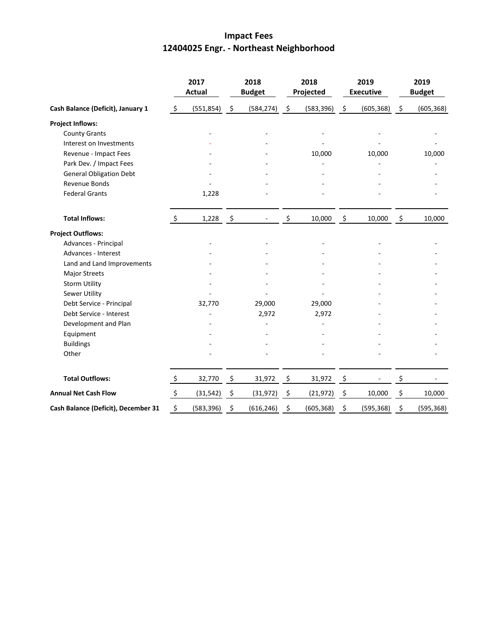# **Impact Fees 12404025 Engr. - Northeast Neighborhood**

|                                     | 2017<br><b>Actual</b> |            | 2018<br><b>Budget</b> |            | 2018<br>Projected |            | 2019<br><b>Executive</b> |            | 2019<br><b>Budget</b> |            |
|-------------------------------------|-----------------------|------------|-----------------------|------------|-------------------|------------|--------------------------|------------|-----------------------|------------|
| Cash Balance (Deficit), January 1   | \$                    | (551, 854) | $\ddot{\varsigma}$    | (584, 274) | $\zeta$           | (583, 396) | $\ddot{\phi}$            | (605, 368) | $\ddot{\varsigma}$    | (605, 368) |
| <b>Project Inflows:</b>             |                       |            |                       |            |                   |            |                          |            |                       |            |
| <b>County Grants</b>                |                       |            |                       |            |                   |            |                          |            |                       |            |
| Interest on Investments             |                       |            |                       |            |                   |            |                          |            |                       |            |
| Revenue - Impact Fees               |                       |            |                       |            |                   | 10,000     |                          | 10,000     |                       | 10,000     |
| Park Dev. / Impact Fees             |                       |            |                       |            |                   |            |                          |            |                       |            |
| <b>General Obligation Debt</b>      |                       |            |                       |            |                   |            |                          |            |                       |            |
| Revenue Bonds                       |                       |            |                       |            |                   |            |                          |            |                       |            |
| <b>Federal Grants</b>               |                       | 1,228      |                       |            |                   |            |                          |            |                       |            |
| <b>Total Inflows:</b>               | $\zeta$               | 1,228      | $\ddot{\mathsf{s}}$   |            | \$                | 10,000     | $\ddot{\mathsf{S}}$      | 10,000     | \$                    | 10,000     |
| <b>Project Outflows:</b>            |                       |            |                       |            |                   |            |                          |            |                       |            |
| Advances - Principal                |                       |            |                       |            |                   |            |                          |            |                       |            |
| Advances - Interest                 |                       |            |                       |            |                   |            |                          |            |                       |            |
| Land and Land Improvements          |                       |            |                       |            |                   |            |                          |            |                       |            |
| <b>Major Streets</b>                |                       |            |                       |            |                   |            |                          |            |                       |            |
| <b>Storm Utility</b>                |                       |            |                       |            |                   |            |                          |            |                       |            |
| Sewer Utility                       |                       |            |                       |            |                   |            |                          |            |                       |            |
| Debt Service - Principal            |                       | 32,770     |                       | 29,000     |                   | 29,000     |                          |            |                       |            |
| Debt Service - Interest             |                       |            |                       | 2,972      |                   | 2,972      |                          |            |                       |            |
| Development and Plan                |                       |            |                       |            |                   |            |                          |            |                       |            |
| Equipment                           |                       |            |                       |            |                   |            |                          |            |                       |            |
| <b>Buildings</b>                    |                       |            |                       |            |                   |            |                          |            |                       |            |
| Other                               |                       |            |                       |            |                   |            |                          |            |                       |            |
| <b>Total Outflows:</b>              | \$                    | 32,770     | \$                    | 31,972     | \$                | 31,972     | $\frac{5}{2}$            |            | \$                    |            |
| <b>Annual Net Cash Flow</b>         | $\ddot{\mathsf{S}}$   | (31, 542)  | \$                    | (31, 972)  | \$                | (21, 972)  | \$                       | 10,000     | \$                    | 10,000     |
| Cash Balance (Deficit), December 31 | \$                    | (583, 396) | \$                    | (616, 246) | \$                | (605, 368) | \$                       | (595, 368) | \$                    | (595, 368) |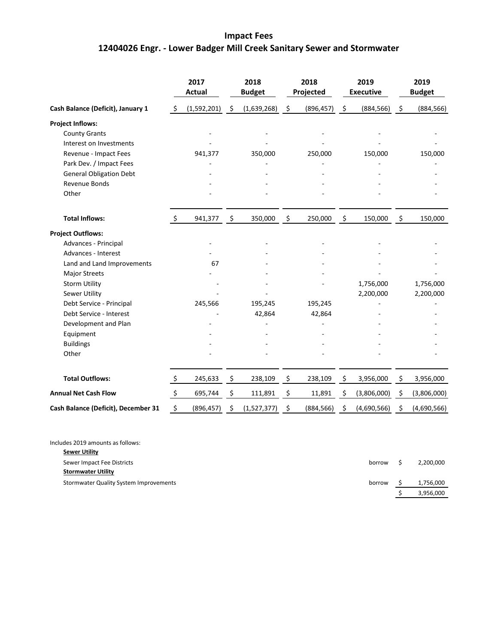# **Impact Fees 12404026 Engr. - Lower Badger Mill Creek Sanitary Sewer and Stormwater**

|                                     |                     | 2017<br><b>Actual</b> |      | 2018<br><b>Budget</b> |      | 2018<br>Projected |      | 2019<br><b>Executive</b> |                    | 2019<br><b>Budget</b> |  |
|-------------------------------------|---------------------|-----------------------|------|-----------------------|------|-------------------|------|--------------------------|--------------------|-----------------------|--|
| Cash Balance (Deficit), January 1   | -\$                 | (1,592,201)           | - \$ | (1,639,268)           | - \$ | (896, 457)        | - \$ | (884, 566)               | $\ddot{\varsigma}$ | (884, 566)            |  |
| <b>Project Inflows:</b>             |                     |                       |      |                       |      |                   |      |                          |                    |                       |  |
| <b>County Grants</b>                |                     |                       |      |                       |      |                   |      |                          |                    |                       |  |
| Interest on Investments             |                     |                       |      |                       |      |                   |      |                          |                    |                       |  |
| Revenue - Impact Fees               |                     | 941,377               |      | 350,000               |      | 250,000           |      | 150,000                  |                    | 150,000               |  |
| Park Dev. / Impact Fees             |                     |                       |      |                       |      |                   |      |                          |                    |                       |  |
| <b>General Obligation Debt</b>      |                     |                       |      |                       |      |                   |      |                          |                    |                       |  |
| <b>Revenue Bonds</b>                |                     |                       |      |                       |      |                   |      |                          |                    |                       |  |
| Other                               |                     |                       |      |                       |      |                   |      |                          |                    |                       |  |
| <b>Total Inflows:</b>               | \$                  | 941,377               | - \$ | 350,000               | \$   | 250,000           | -\$  | 150,000                  | - \$               | 150,000               |  |
| <b>Project Outflows:</b>            |                     |                       |      |                       |      |                   |      |                          |                    |                       |  |
| Advances - Principal                |                     |                       |      |                       |      |                   |      |                          |                    |                       |  |
| Advances - Interest                 |                     |                       |      |                       |      |                   |      |                          |                    |                       |  |
| Land and Land Improvements          |                     | 67                    |      |                       |      |                   |      |                          |                    |                       |  |
| <b>Major Streets</b>                |                     |                       |      |                       |      |                   |      |                          |                    |                       |  |
| <b>Storm Utility</b>                |                     |                       |      |                       |      |                   |      | 1,756,000                |                    | 1,756,000             |  |
| Sewer Utility                       |                     |                       |      |                       |      |                   |      | 2,200,000                |                    | 2,200,000             |  |
| Debt Service - Principal            |                     | 245,566               |      | 195,245               |      | 195,245           |      |                          |                    |                       |  |
| Debt Service - Interest             |                     |                       |      | 42,864                |      | 42,864            |      |                          |                    |                       |  |
| Development and Plan                |                     |                       |      |                       |      |                   |      |                          |                    |                       |  |
| Equipment                           |                     |                       |      |                       |      |                   |      |                          |                    |                       |  |
| <b>Buildings</b>                    |                     |                       |      |                       |      |                   |      |                          |                    |                       |  |
| Other                               |                     |                       |      |                       |      |                   |      |                          |                    |                       |  |
| <b>Total Outflows:</b>              | \$                  | 245,633               | \$   | 238,109               | \$   | 238,109           | \$   | 3,956,000                | \$                 | 3,956,000             |  |
| <b>Annual Net Cash Flow</b>         | $\ddot{\mathsf{S}}$ | 695,744               | \$   | 111,891               | \$   | 11,891            | \$   | (3,806,000)              | \$                 | (3,806,000)           |  |
| Cash Balance (Deficit), December 31 | \$                  | (896, 457)            | \$   | (1,527,377)           | \$   | (884, 566)        | \$   | (4,690,566)              | \$                 | (4,690,566)           |  |

| Includes 2019 amounts as follows:      |        |           |
|----------------------------------------|--------|-----------|
| <b>Sewer Utility</b>                   |        |           |
| Sewer Impact Fee Districts             | borrow | 2,200,000 |
| <b>Stormwater Utility</b>              |        |           |
| Stormwater Quality System Improvements | borrow | 1,756,000 |
|                                        |        | 3,956,000 |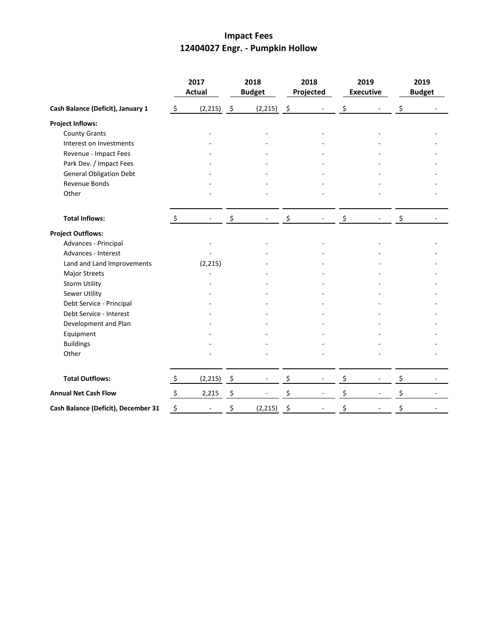## **Impact Fees 12404027 Engr. - Pumpkin Hollow**

|                                     | 2017<br><b>Actual</b>     |              | 2018<br><b>Budget</b> |          | 2018<br>Projected   |  | 2019<br><b>Executive</b> |                          | 2019<br><b>Budget</b> |  |
|-------------------------------------|---------------------------|--------------|-----------------------|----------|---------------------|--|--------------------------|--------------------------|-----------------------|--|
| Cash Balance (Deficit), January 1   | $\zeta$                   | (2, 215)     | - \$                  | (2, 215) | $\ddot{\mathsf{s}}$ |  | \$                       |                          | \$                    |  |
| <b>Project Inflows:</b>             |                           |              |                       |          |                     |  |                          |                          |                       |  |
| <b>County Grants</b>                |                           |              |                       |          |                     |  |                          |                          |                       |  |
| Interest on Investments             |                           |              |                       |          |                     |  |                          |                          |                       |  |
| Revenue - Impact Fees               |                           |              |                       |          |                     |  |                          |                          |                       |  |
| Park Dev. / Impact Fees             |                           |              |                       |          |                     |  |                          |                          |                       |  |
| <b>General Obligation Debt</b>      |                           |              |                       |          |                     |  |                          |                          |                       |  |
| Revenue Bonds                       |                           |              |                       |          |                     |  |                          |                          |                       |  |
| Other                               |                           |              |                       |          |                     |  |                          |                          |                       |  |
| <b>Total Inflows:</b>               | \$                        |              | \$                    |          | \$                  |  | \$                       |                          | \$                    |  |
| <b>Project Outflows:</b>            |                           |              |                       |          |                     |  |                          |                          |                       |  |
| Advances - Principal                |                           |              |                       |          |                     |  |                          |                          |                       |  |
| Advances - Interest                 |                           |              |                       |          |                     |  |                          |                          |                       |  |
| Land and Land Improvements          |                           | (2, 215)     |                       |          |                     |  |                          |                          |                       |  |
| Major Streets                       |                           |              |                       |          |                     |  |                          |                          |                       |  |
| <b>Storm Utility</b>                |                           |              |                       |          |                     |  |                          |                          |                       |  |
| Sewer Utility                       |                           |              |                       |          |                     |  |                          |                          |                       |  |
| Debt Service - Principal            |                           |              |                       |          |                     |  |                          |                          |                       |  |
| Debt Service - Interest             |                           |              |                       |          |                     |  |                          |                          |                       |  |
| Development and Plan                |                           |              |                       |          |                     |  |                          |                          |                       |  |
| Equipment                           |                           |              |                       |          |                     |  |                          |                          |                       |  |
| <b>Buildings</b>                    |                           |              |                       |          |                     |  |                          |                          |                       |  |
| Other                               |                           |              |                       |          |                     |  |                          |                          |                       |  |
| <b>Total Outflows:</b>              | $\ddot{\zeta}$            | $(2,215)$ \$ |                       |          | \$                  |  | \$                       | $\overline{\phantom{a}}$ | \$                    |  |
| <b>Annual Net Cash Flow</b>         | $\boldsymbol{\mathsf{S}}$ | 2,215        | \$                    |          | \$                  |  | \$                       |                          | \$                    |  |
| Cash Balance (Deficit), December 31 | \$                        |              | \$                    | (2, 215) | \$                  |  | \$                       |                          | \$                    |  |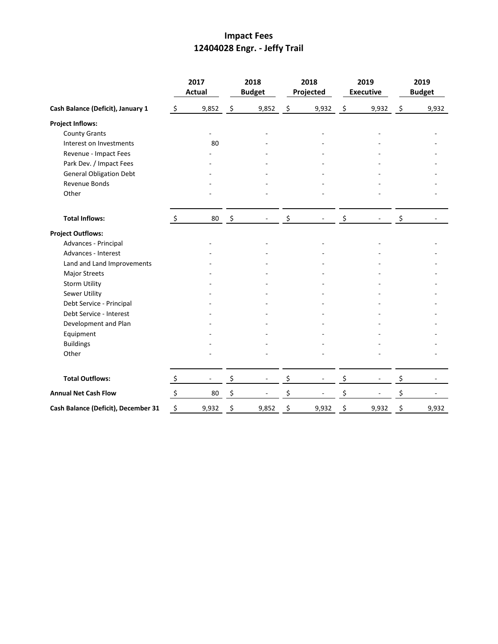# **Impact Fees 12404028 Engr. - Jeffy Trail**

|                                     |                           | 2017<br><b>Actual</b> |                     | 2018<br><b>Budget</b> |                    | 2018<br>Projected |                | 2019<br><b>Executive</b> |         | 2019<br><b>Budget</b> |
|-------------------------------------|---------------------------|-----------------------|---------------------|-----------------------|--------------------|-------------------|----------------|--------------------------|---------|-----------------------|
| Cash Balance (Deficit), January 1   | $\zeta$                   | 9,852                 | \$                  | 9,852                 | $\ddot{\varsigma}$ | 9,932             | $\mathfrak{S}$ | 9,932                    | $\zeta$ | 9,932                 |
| <b>Project Inflows:</b>             |                           |                       |                     |                       |                    |                   |                |                          |         |                       |
| <b>County Grants</b>                |                           |                       |                     |                       |                    |                   |                |                          |         |                       |
| Interest on Investments             |                           | 80                    |                     |                       |                    |                   |                |                          |         |                       |
| Revenue - Impact Fees               |                           |                       |                     |                       |                    |                   |                |                          |         |                       |
| Park Dev. / Impact Fees             |                           |                       |                     |                       |                    |                   |                |                          |         |                       |
| <b>General Obligation Debt</b>      |                           |                       |                     |                       |                    |                   |                |                          |         |                       |
| Revenue Bonds                       |                           |                       |                     |                       |                    |                   |                |                          |         |                       |
| Other                               |                           |                       |                     |                       |                    |                   |                |                          |         |                       |
| <b>Total Inflows:</b>               | $\ddot{\mathsf{S}}$       | 80                    | $\ddot{\mathsf{S}}$ |                       | \$                 |                   | \$             |                          | \$      |                       |
| <b>Project Outflows:</b>            |                           |                       |                     |                       |                    |                   |                |                          |         |                       |
| Advances - Principal                |                           |                       |                     |                       |                    |                   |                |                          |         |                       |
| Advances - Interest                 |                           |                       |                     |                       |                    |                   |                |                          |         |                       |
| Land and Land Improvements          |                           |                       |                     |                       |                    |                   |                |                          |         |                       |
| Major Streets                       |                           |                       |                     |                       |                    |                   |                |                          |         |                       |
| <b>Storm Utility</b>                |                           |                       |                     |                       |                    |                   |                |                          |         |                       |
| <b>Sewer Utility</b>                |                           |                       |                     |                       |                    |                   |                |                          |         |                       |
| Debt Service - Principal            |                           |                       |                     |                       |                    |                   |                |                          |         |                       |
| Debt Service - Interest             |                           |                       |                     |                       |                    |                   |                |                          |         |                       |
| Development and Plan                |                           |                       |                     |                       |                    |                   |                |                          |         |                       |
| Equipment                           |                           |                       |                     |                       |                    |                   |                |                          |         |                       |
| <b>Buildings</b>                    |                           |                       |                     |                       |                    |                   |                |                          |         |                       |
| Other                               |                           |                       |                     |                       |                    |                   |                |                          |         |                       |
| <b>Total Outflows:</b>              | $\ddot{\zeta}$            |                       | \$                  |                       | \$                 |                   | \$             | $\overline{\phantom{a}}$ | \$      |                       |
| <b>Annual Net Cash Flow</b>         | $\boldsymbol{\mathsf{S}}$ | 80                    | \$                  |                       | \$                 |                   | \$             |                          | \$      |                       |
| Cash Balance (Deficit), December 31 | \$                        | 9,932                 | \$                  | 9,852                 | \$                 | 9,932             | \$             | 9,932                    | \$      | 9,932                 |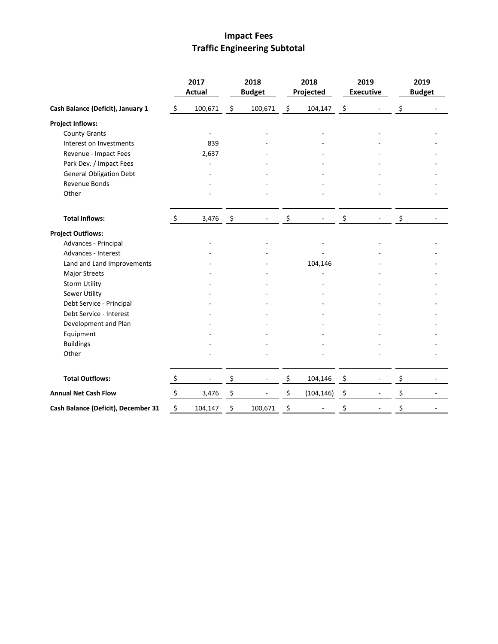# **Impact Fees Traffic Engineering Subtotal**

|                                     |                           | 2017<br><b>Actual</b> |                     | 2018<br><b>Budget</b> | 2018<br>Projected |                     | 2019<br><b>Executive</b> | 2019<br><b>Budget</b> |
|-------------------------------------|---------------------------|-----------------------|---------------------|-----------------------|-------------------|---------------------|--------------------------|-----------------------|
| Cash Balance (Deficit), January 1   | \$                        | 100,671               | $\ddot{\mathsf{S}}$ | 100,671               | \$<br>104,147     | $\ddot{\mathsf{S}}$ |                          | \$                    |
| <b>Project Inflows:</b>             |                           |                       |                     |                       |                   |                     |                          |                       |
| <b>County Grants</b>                |                           |                       |                     |                       |                   |                     |                          |                       |
| Interest on Investments             |                           | 839                   |                     |                       |                   |                     |                          |                       |
| Revenue - Impact Fees               |                           | 2,637                 |                     |                       |                   |                     |                          |                       |
| Park Dev. / Impact Fees             |                           |                       |                     |                       |                   |                     |                          |                       |
| <b>General Obligation Debt</b>      |                           |                       |                     |                       |                   |                     |                          |                       |
| Revenue Bonds                       |                           |                       |                     |                       |                   |                     |                          |                       |
| Other                               |                           |                       |                     |                       |                   |                     |                          |                       |
| <b>Total Inflows:</b>               | \$                        | 3,476                 | - \$                |                       | \$                | \$                  |                          | \$                    |
| <b>Project Outflows:</b>            |                           |                       |                     |                       |                   |                     |                          |                       |
| Advances - Principal                |                           |                       |                     |                       |                   |                     |                          |                       |
| Advances - Interest                 |                           |                       |                     |                       |                   |                     |                          |                       |
| Land and Land Improvements          |                           |                       |                     |                       | 104,146           |                     |                          |                       |
| Major Streets                       |                           |                       |                     |                       |                   |                     |                          |                       |
| <b>Storm Utility</b>                |                           |                       |                     |                       |                   |                     |                          |                       |
| Sewer Utility                       |                           |                       |                     |                       |                   |                     |                          |                       |
| Debt Service - Principal            |                           |                       |                     |                       |                   |                     |                          |                       |
| Debt Service - Interest             |                           |                       |                     |                       |                   |                     |                          |                       |
| Development and Plan                |                           |                       |                     |                       |                   |                     |                          |                       |
| Equipment                           |                           |                       |                     |                       |                   |                     |                          |                       |
| <b>Buildings</b>                    |                           |                       |                     |                       |                   |                     |                          |                       |
| Other                               |                           |                       |                     |                       |                   |                     |                          |                       |
| <b>Total Outflows:</b>              | $\ddot{\varsigma}$        |                       | \$                  |                       | \$<br>104,146     | \$                  | $\overline{\phantom{a}}$ | \$                    |
| <b>Annual Net Cash Flow</b>         | $\boldsymbol{\mathsf{S}}$ | 3,476                 | \$                  |                       | \$<br>(104, 146)  | \$                  |                          | \$                    |
| Cash Balance (Deficit), December 31 | \$                        | 104,147               | \$                  | 100,671               | \$                | \$                  |                          | \$                    |